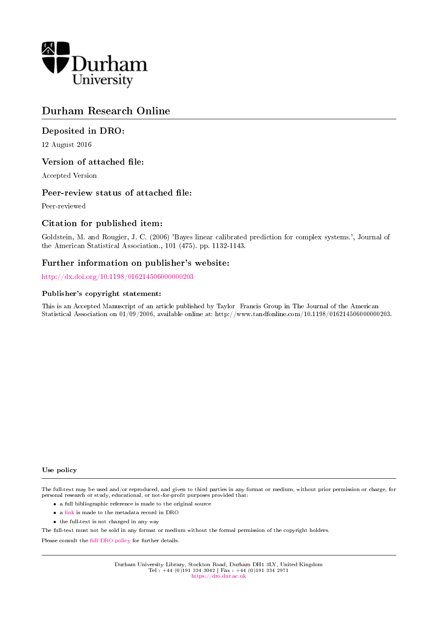

# Durham Research Online

## Deposited in DRO:

12 August 2016

## Version of attached file:

Accepted Version

## Peer-review status of attached file:

Peer-reviewed

## Citation for published item:

Goldstein, M. and Rougier, J. C. (2006) 'Bayes linear calibrated prediction for complex systems.', Journal of the American Statistical Association., 101 (475). pp. 1132-1143.

## Further information on publisher's website:

<http://dx.doi.org/10.1198/016214506000000203>

#### Publisher's copyright statement:

This is an Accepted Manuscript of an article published by Taylor Francis Group in The Journal of the American Statistical Association on 01/09/2006, available online at: http://www.tandfonline.com/10.1198/016214506000000203.

#### Use policy

The full-text may be used and/or reproduced, and given to third parties in any format or medium, without prior permission or charge, for personal research or study, educational, or not-for-profit purposes provided that:

- a full bibliographic reference is made to the original source
- a [link](http://dro.dur.ac.uk/3048/) is made to the metadata record in DRO
- the full-text is not changed in any way

The full-text must not be sold in any format or medium without the formal permission of the copyright holders.

Please consult the [full DRO policy](https://dro.dur.ac.uk/policies/usepolicy.pdf) for further details.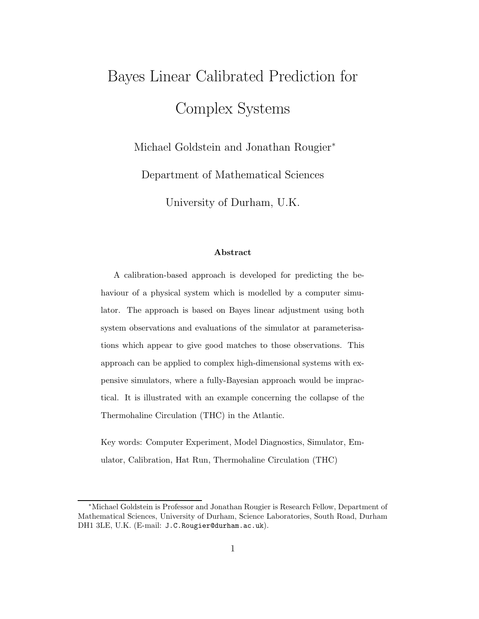# Bayes Linear Calibrated Prediction for Complex Systems

Michael Goldstein and Jonathan Rougier<sup>\*</sup>

Department of Mathematical Sciences

University of Durham, U.K.

#### Abstract

A calibration-based approach is developed for predicting the behaviour of a physical system which is modelled by a computer simulator. The approach is based on Bayes linear adjustment using both system observations and evaluations of the simulator at parameterisations which appear to give good matches to those observations. This approach can be applied to complex high-dimensional systems with expensive simulators, where a fully-Bayesian approach would be impractical. It is illustrated with an example concerning the collapse of the Thermohaline Circulation (THC) in the Atlantic.

Key words: Computer Experiment, Model Diagnostics, Simulator, Emulator, Calibration, Hat Run, Thermohaline Circulation (THC)

<sup>∗</sup>Michael Goldstein is Professor and Jonathan Rougier is Research Fellow, Department of Mathematical Sciences, University of Durham, Science Laboratories, South Road, Durham DH1 3LE, U.K. (E-mail: J.C.Rougier@durham.ac.uk).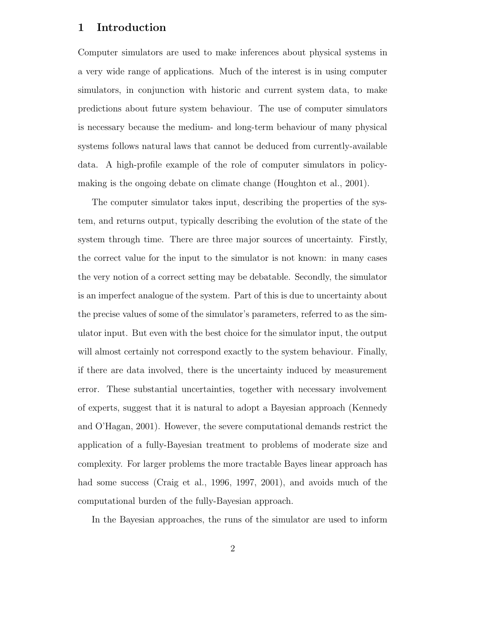## 1 Introduction

Computer simulators are used to make inferences about physical systems in a very wide range of applications. Much of the interest is in using computer simulators, in conjunction with historic and current system data, to make predictions about future system behaviour. The use of computer simulators is necessary because the medium- and long-term behaviour of many physical systems follows natural laws that cannot be deduced from currently-available data. A high-profile example of the role of computer simulators in policymaking is the ongoing debate on climate change (Houghton et al., 2001).

The computer simulator takes input, describing the properties of the system, and returns output, typically describing the evolution of the state of the system through time. There are three major sources of uncertainty. Firstly, the correct value for the input to the simulator is not known: in many cases the very notion of a correct setting may be debatable. Secondly, the simulator is an imperfect analogue of the system. Part of this is due to uncertainty about the precise values of some of the simulator's parameters, referred to as the simulator input. But even with the best choice for the simulator input, the output will almost certainly not correspond exactly to the system behaviour. Finally, if there are data involved, there is the uncertainty induced by measurement error. These substantial uncertainties, together with necessary involvement of experts, suggest that it is natural to adopt a Bayesian approach (Kennedy and O'Hagan, 2001). However, the severe computational demands restrict the application of a fully-Bayesian treatment to problems of moderate size and complexity. For larger problems the more tractable Bayes linear approach has had some success (Craig et al., 1996, 1997, 2001), and avoids much of the computational burden of the fully-Bayesian approach.

In the Bayesian approaches, the runs of the simulator are used to inform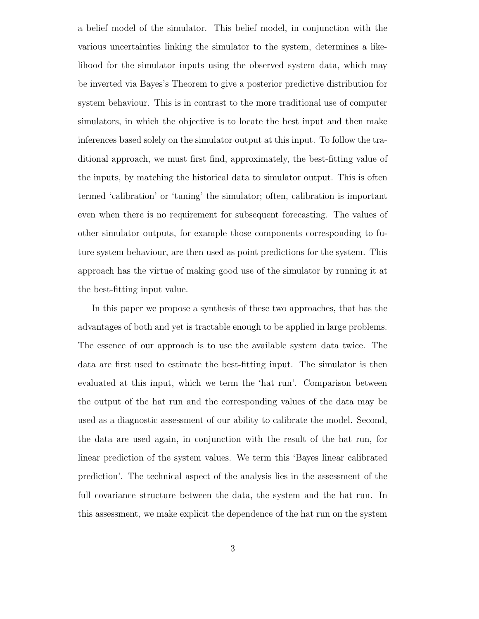a belief model of the simulator. This belief model, in conjunction with the various uncertainties linking the simulator to the system, determines a likelihood for the simulator inputs using the observed system data, which may be inverted via Bayes's Theorem to give a posterior predictive distribution for system behaviour. This is in contrast to the more traditional use of computer simulators, in which the objective is to locate the best input and then make inferences based solely on the simulator output at this input. To follow the traditional approach, we must first find, approximately, the best-fitting value of the inputs, by matching the historical data to simulator output. This is often termed 'calibration' or 'tuning' the simulator; often, calibration is important even when there is no requirement for subsequent forecasting. The values of other simulator outputs, for example those components corresponding to future system behaviour, are then used as point predictions for the system. This approach has the virtue of making good use of the simulator by running it at the best-fitting input value.

In this paper we propose a synthesis of these two approaches, that has the advantages of both and yet is tractable enough to be applied in large problems. The essence of our approach is to use the available system data twice. The data are first used to estimate the best-fitting input. The simulator is then evaluated at this input, which we term the 'hat run'. Comparison between the output of the hat run and the corresponding values of the data may be used as a diagnostic assessment of our ability to calibrate the model. Second, the data are used again, in conjunction with the result of the hat run, for linear prediction of the system values. We term this 'Bayes linear calibrated prediction'. The technical aspect of the analysis lies in the assessment of the full covariance structure between the data, the system and the hat run. In this assessment, we make explicit the dependence of the hat run on the system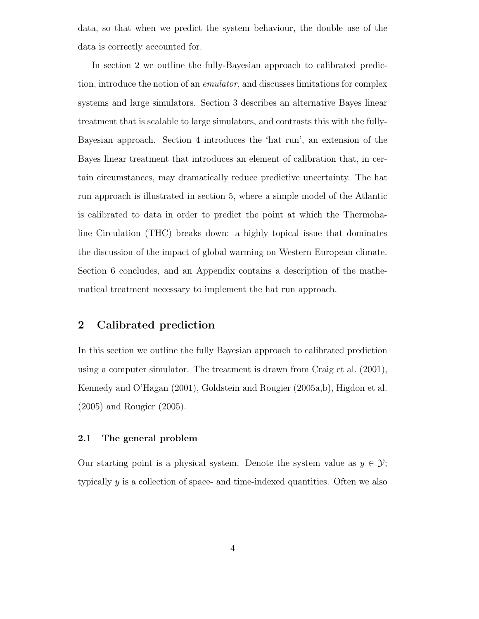data, so that when we predict the system behaviour, the double use of the data is correctly accounted for.

In section 2 we outline the fully-Bayesian approach to calibrated prediction, introduce the notion of an emulator, and discusses limitations for complex systems and large simulators. Section 3 describes an alternative Bayes linear treatment that is scalable to large simulators, and contrasts this with the fully-Bayesian approach. Section 4 introduces the 'hat run', an extension of the Bayes linear treatment that introduces an element of calibration that, in certain circumstances, may dramatically reduce predictive uncertainty. The hat run approach is illustrated in section 5, where a simple model of the Atlantic is calibrated to data in order to predict the point at which the Thermohaline Circulation (THC) breaks down: a highly topical issue that dominates the discussion of the impact of global warming on Western European climate. Section 6 concludes, and an Appendix contains a description of the mathematical treatment necessary to implement the hat run approach.

# 2 Calibrated prediction

In this section we outline the fully Bayesian approach to calibrated prediction using a computer simulator. The treatment is drawn from Craig et al. (2001), Kennedy and O'Hagan (2001), Goldstein and Rougier (2005a,b), Higdon et al. (2005) and Rougier (2005).

### 2.1 The general problem

Our starting point is a physical system. Denote the system value as  $y \in \mathcal{Y}$ ; typically  $\gamma$  is a collection of space- and time-indexed quantities. Often we also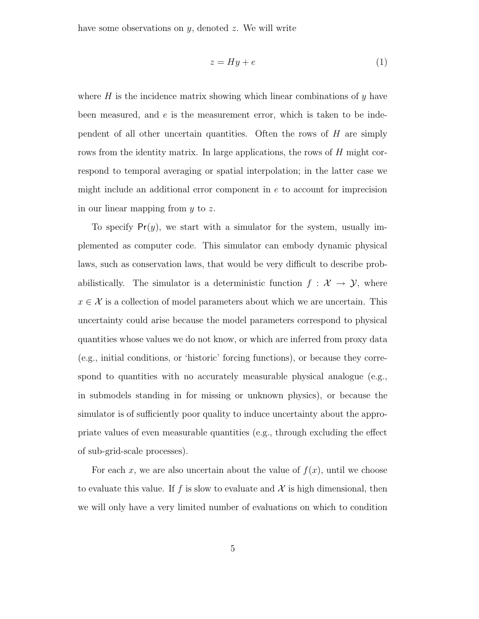have some observations on  $y$ , denoted  $z$ . We will write

$$
z = Hy + e \tag{1}
$$

where  $H$  is the incidence matrix showing which linear combinations of  $y$  have been measured, and  $e$  is the measurement error, which is taken to be independent of all other uncertain quantities. Often the rows of  $H$  are simply rows from the identity matrix. In large applications, the rows of H might correspond to temporal averaging or spatial interpolation; in the latter case we might include an additional error component in e to account for imprecision in our linear mapping from y to z.

To specify  $Pr(y)$ , we start with a simulator for the system, usually implemented as computer code. This simulator can embody dynamic physical laws, such as conservation laws, that would be very difficult to describe probabilistically. The simulator is a deterministic function  $f : \mathcal{X} \to \mathcal{Y}$ , where  $x \in \mathcal{X}$  is a collection of model parameters about which we are uncertain. This uncertainty could arise because the model parameters correspond to physical quantities whose values we do not know, or which are inferred from proxy data (e.g., initial conditions, or 'historic' forcing functions), or because they correspond to quantities with no accurately measurable physical analogue (e.g., in submodels standing in for missing or unknown physics), or because the simulator is of sufficiently poor quality to induce uncertainty about the appropriate values of even measurable quantities (e.g., through excluding the effect of sub-grid-scale processes).

For each x, we are also uncertain about the value of  $f(x)$ , until we choose to evaluate this value. If f is slow to evaluate and  $\mathcal X$  is high dimensional, then we will only have a very limited number of evaluations on which to condition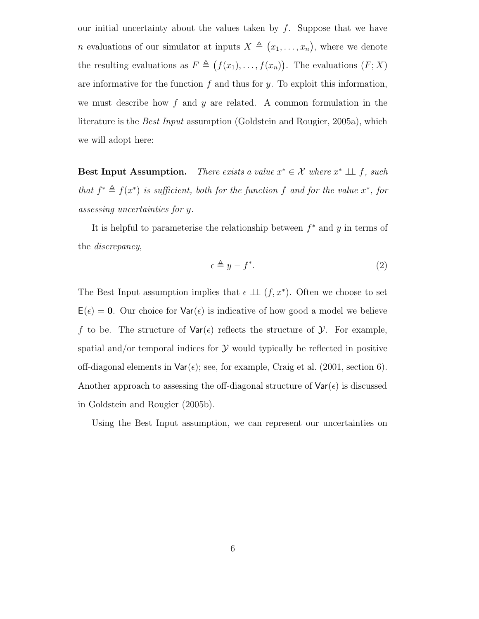our initial uncertainty about the values taken by  $f$ . Suppose that we have *n* evaluations of our simulator at inputs  $X \triangleq (x_1, \ldots, x_n)$ , where we denote the resulting evaluations as  $F \triangleq (f(x_1), \ldots, f(x_n))$ . The evaluations  $(F; X)$ are informative for the function  $f$  and thus for  $y$ . To exploit this information, we must describe how  $f$  and  $y$  are related. A common formulation in the literature is the *Best Input* assumption (Goldstein and Rougier, 2005a), which we will adopt here:

**Best Input Assumption.** There exists a value  $x^* \in \mathcal{X}$  where  $x^* \perp f$ , such that  $f^* \triangleq f(x^*)$  is sufficient, both for the function f and for the value  $x^*$ , for assessing uncertainties for y.

It is helpful to parameterise the relationship between  $f^*$  and  $y$  in terms of the discrepancy,

$$
\epsilon \triangleq y - f^*.\tag{2}
$$

The Best Input assumption implies that  $\epsilon \perp\!\!\!\perp (f, x^*)$ . Often we choose to set  $E(\epsilon) = 0$ . Our choice for  $Var(\epsilon)$  is indicative of how good a model we believe f to be. The structure of  $\text{Var}(\epsilon)$  reflects the structure of  $\mathcal{Y}$ . For example, spatial and/or temporal indices for  $\mathcal Y$  would typically be reflected in positive off-diagonal elements in  $\text{Var}(\epsilon)$ ; see, for example, Craig et al. (2001, section 6). Another approach to assessing the off-diagonal structure of  $\text{Var}(\epsilon)$  is discussed in Goldstein and Rougier (2005b).

Using the Best Input assumption, we can represent our uncertainties on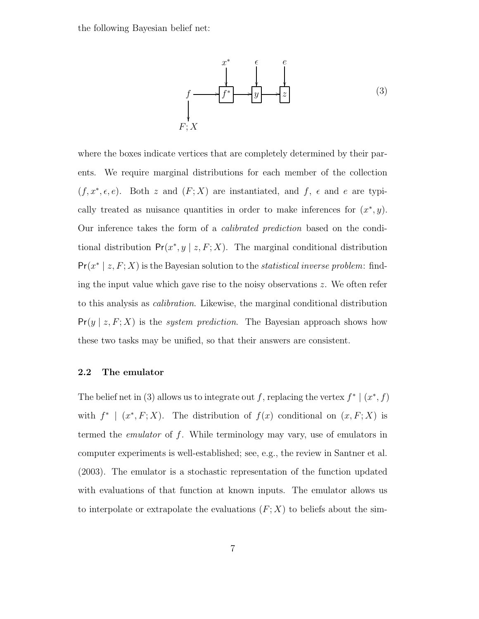the following Bayesian belief net:



where the boxes indicate vertices that are completely determined by their parents. We require marginal distributions for each member of the collection  $(f, x^*, \epsilon, e)$ . Both z and  $(F; X)$  are instantiated, and f,  $\epsilon$  and e are typically treated as nuisance quantities in order to make inferences for  $(x^*, y)$ . Our inference takes the form of a calibrated prediction based on the conditional distribution  $Pr(x^*, y \mid z, F; X)$ . The marginal conditional distribution  $Pr(x^* | z, F; X)$  is the Bayesian solution to the *statistical inverse problem*: finding the input value which gave rise to the noisy observations  $z$ . We often refer to this analysis as calibration. Likewise, the marginal conditional distribution  $Pr(y | z, F; X)$  is the *system prediction*. The Bayesian approach shows how these two tasks may be unified, so that their answers are consistent.

#### 2.2 The emulator

The belief net in (3) allows us to integrate out f, replacing the vertex  $f^* | (x^*, f)$ with  $f^*$  |  $(x^*, F; X)$ . The distribution of  $f(x)$  conditional on  $(x, F; X)$  is termed the emulator of f. While terminology may vary, use of emulators in computer experiments is well-established; see, e.g., the review in Santner et al. (2003). The emulator is a stochastic representation of the function updated with evaluations of that function at known inputs. The emulator allows us to interpolate or extrapolate the evaluations  $(F; X)$  to beliefs about the sim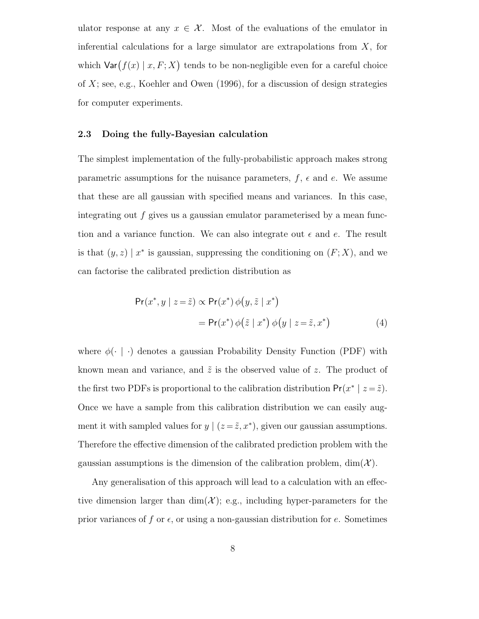ulator response at any  $x \in \mathcal{X}$ . Most of the evaluations of the emulator in inferential calculations for a large simulator are extrapolations from  $X$ , for which  $\textsf{Var}(f(x) | x, F; X)$  tends to be non-negligible even for a careful choice of  $X$ ; see, e.g., Koehler and Owen (1996), for a discussion of design strategies for computer experiments.

#### 2.3 Doing the fully-Bayesian calculation

The simplest implementation of the fully-probabilistic approach makes strong parametric assumptions for the nuisance parameters,  $f$ ,  $\epsilon$  and  $e$ . We assume that these are all gaussian with specified means and variances. In this case, integrating out  $f$  gives us a gaussian emulator parameterised by a mean function and a variance function. We can also integrate out  $\epsilon$  and  $e$ . The result is that  $(y, z) | x^*$  is gaussian, suppressing the conditioning on  $(F; X)$ , and we can factorise the calibrated prediction distribution as

$$
Pr(x^*, y \mid z = \tilde{z}) \propto Pr(x^*) \phi(y, \tilde{z} \mid x^*)
$$
  
= 
$$
Pr(x^*) \phi(\tilde{z} \mid x^*) \phi(y \mid z = \tilde{z}, x^*)
$$
 (4)

where  $\phi(\cdot \mid \cdot)$  denotes a gaussian Probability Density Function (PDF) with known mean and variance, and  $\tilde{z}$  is the observed value of z. The product of the first two PDFs is proportional to the calibration distribution  $Pr(x^* | z = \tilde{z})$ . Once we have a sample from this calibration distribution we can easily augment it with sampled values for  $y \mid (z = \tilde{z}, x^*)$ , given our gaussian assumptions. Therefore the effective dimension of the calibrated prediction problem with the gaussian assumptions is the dimension of the calibration problem,  $\dim(\mathcal{X})$ .

Any generalisation of this approach will lead to a calculation with an effective dimension larger than  $\dim(\mathcal{X})$ ; e.g., including hyper-parameters for the prior variances of f or  $\epsilon$ , or using a non-gaussian distribution for e. Sometimes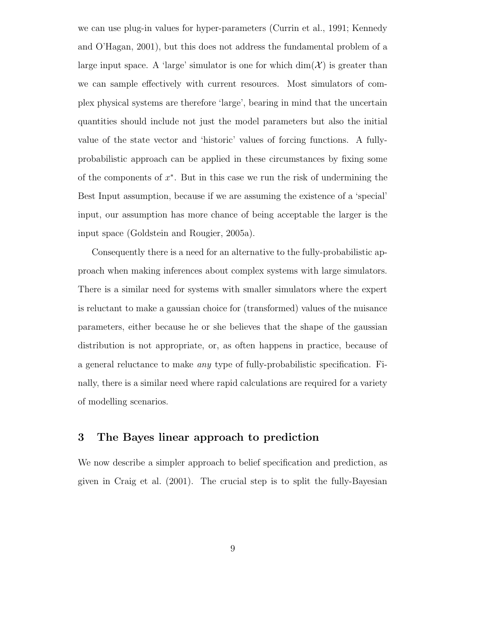we can use plug-in values for hyper-parameters (Currin et al., 1991; Kennedy and O'Hagan, 2001), but this does not address the fundamental problem of a large input space. A 'large' simulator is one for which  $\dim(\mathcal{X})$  is greater than we can sample effectively with current resources. Most simulators of complex physical systems are therefore 'large', bearing in mind that the uncertain quantities should include not just the model parameters but also the initial value of the state vector and 'historic' values of forcing functions. A fullyprobabilistic approach can be applied in these circumstances by fixing some of the components of  $x^*$ . But in this case we run the risk of undermining the Best Input assumption, because if we are assuming the existence of a 'special' input, our assumption has more chance of being acceptable the larger is the input space (Goldstein and Rougier, 2005a).

Consequently there is a need for an alternative to the fully-probabilistic approach when making inferences about complex systems with large simulators. There is a similar need for systems with smaller simulators where the expert is reluctant to make a gaussian choice for (transformed) values of the nuisance parameters, either because he or she believes that the shape of the gaussian distribution is not appropriate, or, as often happens in practice, because of a general reluctance to make any type of fully-probabilistic specification. Finally, there is a similar need where rapid calculations are required for a variety of modelling scenarios.

## 3 The Bayes linear approach to prediction

We now describe a simpler approach to belief specification and prediction, as given in Craig et al. (2001). The crucial step is to split the fully-Bayesian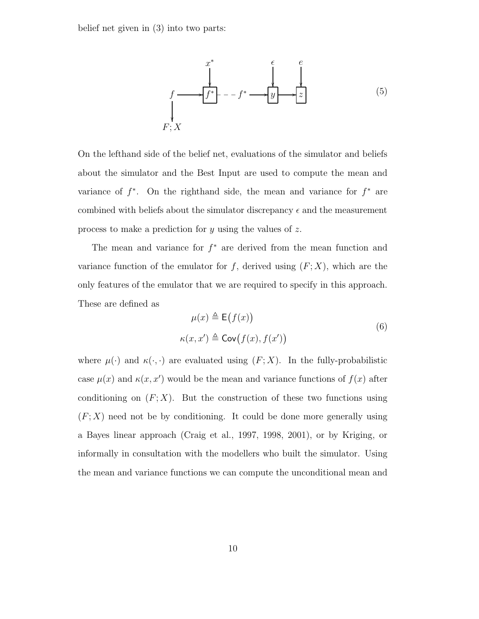belief net given in (3) into two parts:



On the lefthand side of the belief net, evaluations of the simulator and beliefs about the simulator and the Best Input are used to compute the mean and variance of  $f^*$ . On the righthand side, the mean and variance for  $f^*$  are combined with beliefs about the simulator discrepancy  $\epsilon$  and the measurement process to make a prediction for y using the values of z.

The mean and variance for  $f^*$  are derived from the mean function and variance function of the emulator for f, derived using  $(F; X)$ , which are the only features of the emulator that we are required to specify in this approach. These are defined as

$$
\mu(x) \triangleq \mathsf{E}\big(f(x)\big) \n\kappa(x, x') \triangleq \mathsf{Cov}\big(f(x), f(x')\big)
$$
\n(6)

where  $\mu(\cdot)$  and  $\kappa(\cdot, \cdot)$  are evaluated using  $(F; X)$ . In the fully-probabilistic case  $\mu(x)$  and  $\kappa(x, x')$  would be the mean and variance functions of  $f(x)$  after conditioning on  $(F; X)$ . But the construction of these two functions using  $(F; X)$  need not be by conditioning. It could be done more generally using a Bayes linear approach (Craig et al., 1997, 1998, 2001), or by Kriging, or informally in consultation with the modellers who built the simulator. Using the mean and variance functions we can compute the unconditional mean and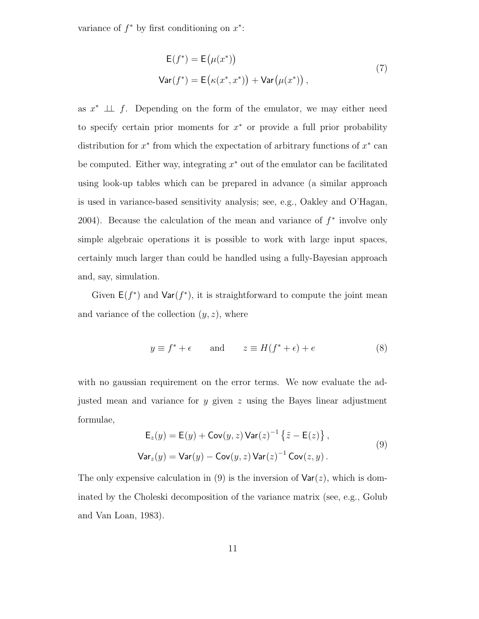variance of  $f^*$  by first conditioning on  $x^*$ :

$$
E(f^*) = E(\mu(x^*))
$$
  
\n
$$
Var(f^*) = E(\kappa(x^*, x^*)) + Var(\mu(x^*))
$$
, (7)

as  $x^* \perp \!\!\!\perp f$ . Depending on the form of the emulator, we may either need to specify certain prior moments for  $x^*$  or provide a full prior probability distribution for  $x^*$  from which the expectation of arbitrary functions of  $x^*$  can be computed. Either way, integrating  $x^*$  out of the emulator can be facilitated using look-up tables which can be prepared in advance (a similar approach is used in variance-based sensitivity analysis; see, e.g., Oakley and O'Hagan, 2004). Because the calculation of the mean and variance of  $f^*$  involve only simple algebraic operations it is possible to work with large input spaces, certainly much larger than could be handled using a fully-Bayesian approach and, say, simulation.

Given  $E(f^*)$  and  $Var(f^*)$ , it is straightforward to compute the joint mean and variance of the collection  $(y, z)$ , where

$$
y \equiv f^* + \epsilon \qquad \text{and} \qquad z \equiv H(f^* + \epsilon) + e \tag{8}
$$

with no gaussian requirement on the error terms. We now evaluate the adjusted mean and variance for y given  $z$  using the Bayes linear adjustment formulae,

$$
\mathsf{E}_z(y) = \mathsf{E}(y) + \mathsf{Cov}(y, z) \mathsf{Var}(z)^{-1} \left\{ \tilde{z} - \mathsf{E}(z) \right\},
$$
  

$$
\mathsf{Var}_z(y) = \mathsf{Var}(y) - \mathsf{Cov}(y, z) \mathsf{Var}(z)^{-1} \mathsf{Cov}(z, y).
$$
 (9)

The only expensive calculation in (9) is the inversion of  $\text{Var}(z)$ , which is dominated by the Choleski decomposition of the variance matrix (see, e.g., Golub and Van Loan, 1983).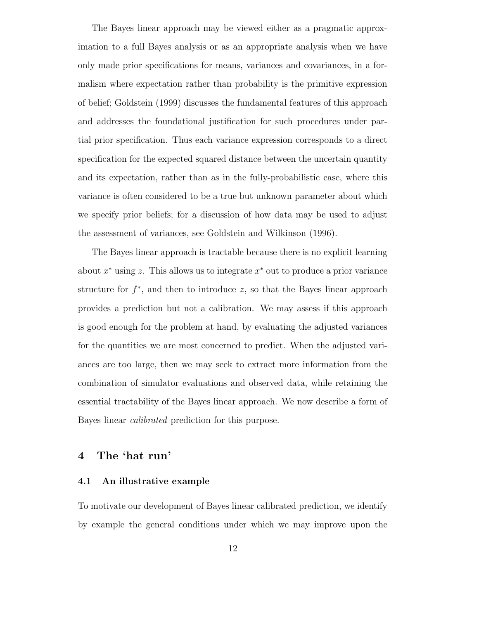The Bayes linear approach may be viewed either as a pragmatic approximation to a full Bayes analysis or as an appropriate analysis when we have only made prior specifications for means, variances and covariances, in a formalism where expectation rather than probability is the primitive expression of belief; Goldstein (1999) discusses the fundamental features of this approach and addresses the foundational justification for such procedures under partial prior specification. Thus each variance expression corresponds to a direct specification for the expected squared distance between the uncertain quantity and its expectation, rather than as in the fully-probabilistic case, where this variance is often considered to be a true but unknown parameter about which we specify prior beliefs; for a discussion of how data may be used to adjust the assessment of variances, see Goldstein and Wilkinson (1996).

The Bayes linear approach is tractable because there is no explicit learning about  $x^*$  using z. This allows us to integrate  $x^*$  out to produce a prior variance structure for  $f^*$ , and then to introduce z, so that the Bayes linear approach provides a prediction but not a calibration. We may assess if this approach is good enough for the problem at hand, by evaluating the adjusted variances for the quantities we are most concerned to predict. When the adjusted variances are too large, then we may seek to extract more information from the combination of simulator evaluations and observed data, while retaining the essential tractability of the Bayes linear approach. We now describe a form of Bayes linear calibrated prediction for this purpose.

## 4 The 'hat run'

#### 4.1 An illustrative example

To motivate our development of Bayes linear calibrated prediction, we identify by example the general conditions under which we may improve upon the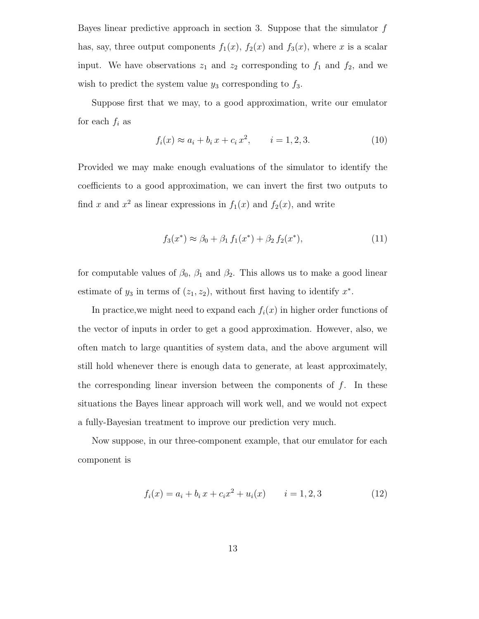Bayes linear predictive approach in section 3. Suppose that the simulator  $f$ has, say, three output components  $f_1(x)$ ,  $f_2(x)$  and  $f_3(x)$ , where x is a scalar input. We have observations  $z_1$  and  $z_2$  corresponding to  $f_1$  and  $f_2$ , and we wish to predict the system value  $y_3$  corresponding to  $f_3$ .

Suppose first that we may, to a good approximation, write our emulator for each  $f_i$  as

$$
f_i(x) \approx a_i + b_i x + c_i x^2, \qquad i = 1, 2, 3. \tag{10}
$$

Provided we may make enough evaluations of the simulator to identify the coefficients to a good approximation, we can invert the first two outputs to find x and  $x^2$  as linear expressions in  $f_1(x)$  and  $f_2(x)$ , and write

$$
f_3(x^*) \approx \beta_0 + \beta_1 f_1(x^*) + \beta_2 f_2(x^*), \tag{11}
$$

for computable values of  $\beta_0$ ,  $\beta_1$  and  $\beta_2$ . This allows us to make a good linear estimate of  $y_3$  in terms of  $(z_1, z_2)$ , without first having to identify  $x^*$ .

In practice, we might need to expand each  $f_i(x)$  in higher order functions of the vector of inputs in order to get a good approximation. However, also, we often match to large quantities of system data, and the above argument will still hold whenever there is enough data to generate, at least approximately, the corresponding linear inversion between the components of  $f$ . In these situations the Bayes linear approach will work well, and we would not expect a fully-Bayesian treatment to improve our prediction very much.

Now suppose, in our three-component example, that our emulator for each component is

$$
f_i(x) = a_i + b_i x + c_i x^2 + u_i(x) \qquad i = 1, 2, 3
$$
\n(12)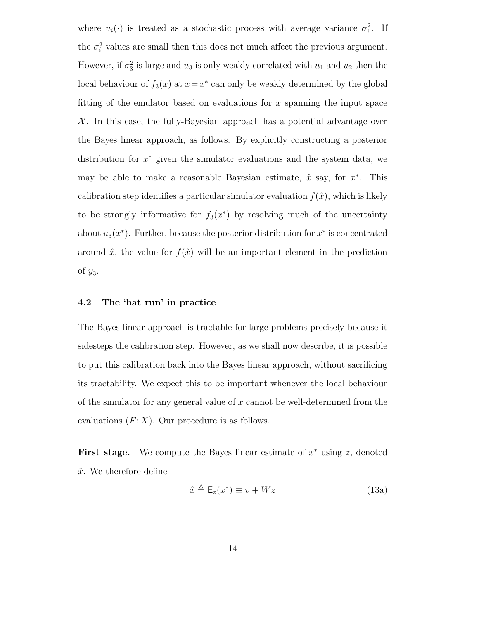where  $u_i(\cdot)$  is treated as a stochastic process with average variance  $\sigma_i^2$ . If the  $\sigma_i^2$  values are small then this does not much affect the previous argument. However, if  $\sigma_3^2$  is large and  $u_3$  is only weakly correlated with  $u_1$  and  $u_2$  then the local behaviour of  $f_3(x)$  at  $x = x^*$  can only be weakly determined by the global fitting of the emulator based on evaluations for  $x$  spanning the input space  $X$ . In this case, the fully-Bayesian approach has a potential advantage over the Bayes linear approach, as follows. By explicitly constructing a posterior distribution for  $x^*$  given the simulator evaluations and the system data, we may be able to make a reasonable Bayesian estimate,  $\hat{x}$  say, for  $x^*$ . This calibration step identifies a particular simulator evaluation  $f(\hat{x})$ , which is likely to be strongly informative for  $f_3(x^*)$  by resolving much of the uncertainty about  $u_3(x^*)$ . Further, because the posterior distribution for  $x^*$  is concentrated around  $\hat{x}$ , the value for  $f(\hat{x})$  will be an important element in the prediction of  $y_3$ .

#### 4.2 The 'hat run' in practice

The Bayes linear approach is tractable for large problems precisely because it sidesteps the calibration step. However, as we shall now describe, it is possible to put this calibration back into the Bayes linear approach, without sacrificing its tractability. We expect this to be important whenever the local behaviour of the simulator for any general value of  $x$  cannot be well-determined from the evaluations  $(F; X)$ . Our procedure is as follows.

First stage. We compute the Bayes linear estimate of  $x^*$  using z, denoted  $\hat{x}$ . We therefore define

$$
\hat{x} \triangleq \mathsf{E}_z(x^*) \equiv v + Wz \tag{13a}
$$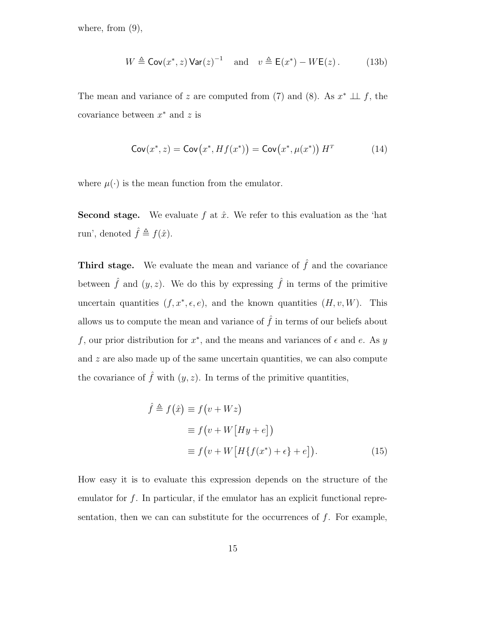where, from  $(9)$ ,

$$
W \triangleq \text{Cov}(x^*, z) \text{Var}(z)^{-1} \quad \text{and} \quad v \triangleq \text{E}(x^*) - W\text{E}(z). \tag{13b}
$$

The mean and variance of z are computed from (7) and (8). As  $x^* \perp f$ , the covariance between  $x^*$  and z is

$$
\operatorname{Cov}(x^*, z) = \operatorname{Cov}(x^*, Hf(x^*)) = \operatorname{Cov}(x^*, \mu(x^*)) H^T \tag{14}
$$

where  $\mu(\cdot)$  is the mean function from the emulator.

**Second stage.** We evaluate f at  $\hat{x}$ . We refer to this evaluation as the 'hat run', denoted  $\hat{f} \triangleq f(\hat{x})$ .

**Third stage.** We evaluate the mean and variance of  $\hat{f}$  and the covariance between  $\hat{f}$  and  $(y, z)$ . We do this by expressing  $\hat{f}$  in terms of the primitive uncertain quantities  $(f, x^*, \epsilon, e)$ , and the known quantities  $(H, v, W)$ . This allows us to compute the mean and variance of  $\hat{f}$  in terms of our beliefs about f, our prior distribution for  $x^*$ , and the means and variances of  $\epsilon$  and  $e$ . As y and  $z$  are also made up of the same uncertain quantities, we can also compute the covariance of  $\hat{f}$  with  $(y, z)$ . In terms of the primitive quantities,

$$
\hat{f} \triangleq f(\hat{x}) \equiv f(v + Wz)
$$
  
\n
$$
\equiv f(v + W[Hy + e])
$$
  
\n
$$
\equiv f(v + W[H\{f(x^*) + \epsilon\} + e]).
$$
\n(15)

How easy it is to evaluate this expression depends on the structure of the emulator for f. In particular, if the emulator has an explicit functional representation, then we can can substitute for the occurrences of  $f$ . For example,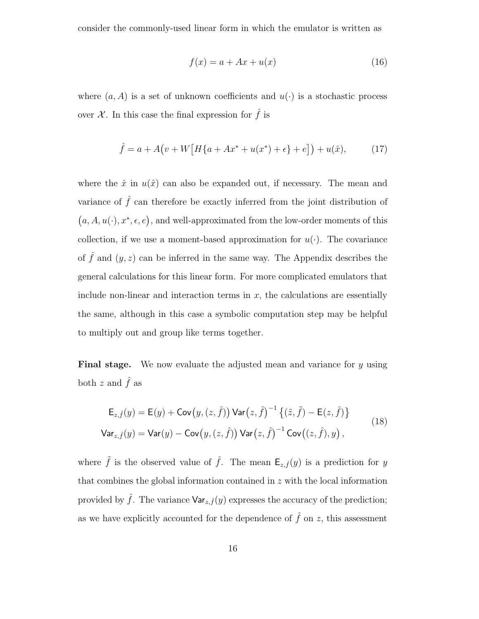consider the commonly-used linear form in which the emulator is written as

$$
f(x) = a + Ax + u(x) \tag{16}
$$

where  $(a, A)$  is a set of unknown coefficients and  $u(\cdot)$  is a stochastic process over  $\mathcal X$ . In this case the final expression for  $\hat f$  is

$$
\hat{f} = a + A(v + W[H(a + Ax^* + u(x^*) + \epsilon] + e]) + u(\hat{x}), \tag{17}
$$

where the  $\hat{x}$  in  $u(\hat{x})$  can also be expanded out, if necessary. The mean and variance of  $\hat{f}$  can therefore be exactly inferred from the joint distribution of  $(a, A, u(\cdot), x^*, \epsilon, e)$ , and well-approximated from the low-order moments of this collection, if we use a moment-based approximation for  $u(\cdot)$ . The covariance of  $\hat{f}$  and  $(y, z)$  can be inferred in the same way. The Appendix describes the general calculations for this linear form. For more complicated emulators that include non-linear and interaction terms in  $x$ , the calculations are essentially the same, although in this case a symbolic computation step may be helpful to multiply out and group like terms together.

Final stage. We now evaluate the adjusted mean and variance for y using both z and  $\hat{f}$  as

$$
\mathsf{E}_{z,\hat{f}}(y) = \mathsf{E}(y) + \mathsf{Cov}\big(y,(z,\hat{f})\big) \mathsf{Var}\big(z,\hat{f}\big)^{-1} \left\{ (\tilde{z},\tilde{f}) - \mathsf{E}(z,\hat{f}) \right\}
$$
\n
$$
\mathsf{Var}_{z,\hat{f}}(y) = \mathsf{Var}(y) - \mathsf{Cov}\big(y,(z,\hat{f})\big) \mathsf{Var}\big(z,\hat{f}\big)^{-1} \mathsf{Cov}\big((z,\hat{f}),y\big) \,,\tag{18}
$$

where  $\tilde{f}$  is the observed value of  $\hat{f}$ . The mean  $\mathsf{E}_{z,\hat{f}}(y)$  is a prediction for y that combines the global information contained in z with the local information provided by  $\hat{f}$ . The variance  $\mathsf{Var}_{z,\hat{f}}(y)$  expresses the accuracy of the prediction; as we have explicitly accounted for the dependence of  $\hat{f}$  on z, this assessment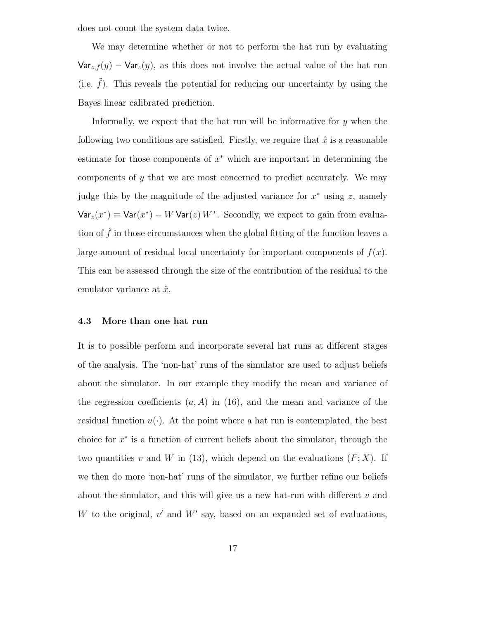does not count the system data twice.

We may determine whether or not to perform the hat run by evaluating  $\text{Var}_{z,\hat{f}}(y) - \text{Var}_{z}(y)$ , as this does not involve the actual value of the hat run (i.e.  $f$ ). This reveals the potential for reducing our uncertainty by using the Bayes linear calibrated prediction.

Informally, we expect that the hat run will be informative for  $y$  when the following two conditions are satisfied. Firstly, we require that  $\hat{x}$  is a reasonable estimate for those components of  $x^*$  which are important in determining the components of  $\gamma$  that we are most concerned to predict accurately. We may judge this by the magnitude of the adjusted variance for  $x^*$  using z, namely  $\text{Var}_z(x^*) \equiv \text{Var}(x^*) - W \text{Var}(z) W^T$ . Secondly, we expect to gain from evaluation of  $\tilde{f}$  in those circumstances when the global fitting of the function leaves a large amount of residual local uncertainty for important components of  $f(x)$ . This can be assessed through the size of the contribution of the residual to the emulator variance at  $\hat{x}$ .

#### 4.3 More than one hat run

It is to possible perform and incorporate several hat runs at different stages of the analysis. The 'non-hat' runs of the simulator are used to adjust beliefs about the simulator. In our example they modify the mean and variance of the regression coefficients  $(a, A)$  in (16), and the mean and variance of the residual function  $u(\cdot)$ . At the point where a hat run is contemplated, the best choice for  $x^*$  is a function of current beliefs about the simulator, through the two quantities v and W in (13), which depend on the evaluations  $(F; X)$ . If we then do more 'non-hat' runs of the simulator, we further refine our beliefs about the simulator, and this will give us a new hat-run with different  $v$  and W to the original,  $v'$  and  $W'$  say, based on an expanded set of evaluations,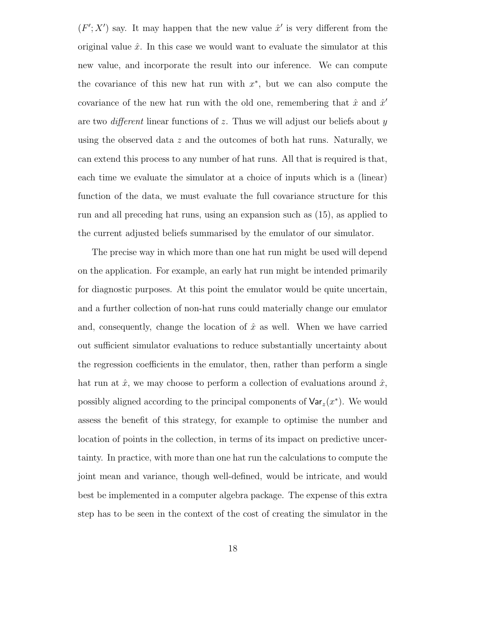$(F'; X')$  say. It may happen that the new value  $\hat{x}'$  is very different from the original value  $\hat{x}$ . In this case we would want to evaluate the simulator at this new value, and incorporate the result into our inference. We can compute the covariance of this new hat run with  $x^*$ , but we can also compute the covariance of the new hat run with the old one, remembering that  $\hat{x}$  and  $\hat{x}$ <sup>'</sup> are two *different* linear functions of z. Thus we will adjust our beliefs about  $y$ using the observed data  $z$  and the outcomes of both hat runs. Naturally, we can extend this process to any number of hat runs. All that is required is that, each time we evaluate the simulator at a choice of inputs which is a (linear) function of the data, we must evaluate the full covariance structure for this run and all preceding hat runs, using an expansion such as (15), as applied to the current adjusted beliefs summarised by the emulator of our simulator.

The precise way in which more than one hat run might be used will depend on the application. For example, an early hat run might be intended primarily for diagnostic purposes. At this point the emulator would be quite uncertain, and a further collection of non-hat runs could materially change our emulator and, consequently, change the location of  $\hat{x}$  as well. When we have carried out sufficient simulator evaluations to reduce substantially uncertainty about the regression coefficients in the emulator, then, rather than perform a single hat run at  $\hat{x}$ , we may choose to perform a collection of evaluations around  $\hat{x}$ , possibly aligned according to the principal components of  $\text{Var}_z(x^*)$ . We would assess the benefit of this strategy, for example to optimise the number and location of points in the collection, in terms of its impact on predictive uncertainty. In practice, with more than one hat run the calculations to compute the joint mean and variance, though well-defined, would be intricate, and would best be implemented in a computer algebra package. The expense of this extra step has to be seen in the context of the cost of creating the simulator in the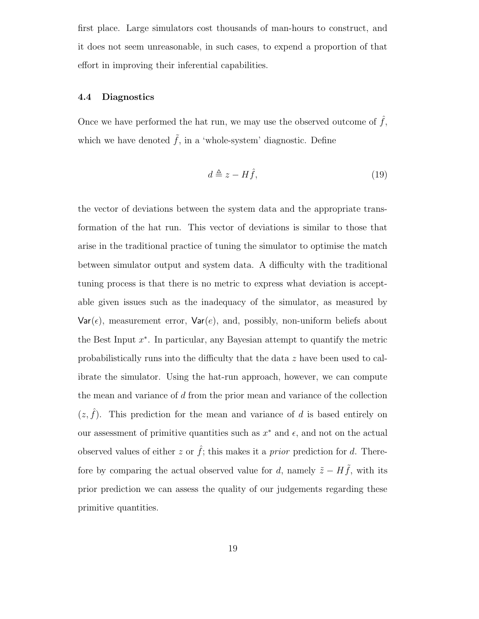first place. Large simulators cost thousands of man-hours to construct, and it does not seem unreasonable, in such cases, to expend a proportion of that effort in improving their inferential capabilities.

#### 4.4 Diagnostics

Once we have performed the hat run, we may use the observed outcome of  $f$ , which we have denoted  $\tilde{f}$ , in a 'whole-system' diagnostic. Define

$$
d \triangleq z - H\hat{f},\tag{19}
$$

the vector of deviations between the system data and the appropriate transformation of the hat run. This vector of deviations is similar to those that arise in the traditional practice of tuning the simulator to optimise the match between simulator output and system data. A difficulty with the traditional tuning process is that there is no metric to express what deviation is acceptable given issues such as the inadequacy of the simulator, as measured by  $Var(\epsilon)$ , measurement error,  $Var(e)$ , and, possibly, non-uniform beliefs about the Best Input  $x^*$ . In particular, any Bayesian attempt to quantify the metric probabilistically runs into the difficulty that the data z have been used to calibrate the simulator. Using the hat-run approach, however, we can compute the mean and variance of d from the prior mean and variance of the collection  $(z, \hat{f})$ . This prediction for the mean and variance of d is based entirely on our assessment of primitive quantities such as  $x^*$  and  $\epsilon$ , and not on the actual observed values of either z or  $\hat{f}$ ; this makes it a *prior* prediction for d. Therefore by comparing the actual observed value for d, namely  $\tilde{z} - H\tilde{f}$ , with its prior prediction we can assess the quality of our judgements regarding these primitive quantities.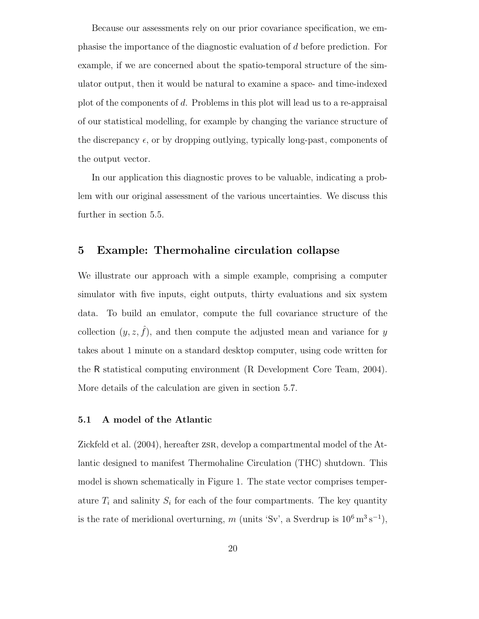Because our assessments rely on our prior covariance specification, we emphasise the importance of the diagnostic evaluation of d before prediction. For example, if we are concerned about the spatio-temporal structure of the simulator output, then it would be natural to examine a space- and time-indexed plot of the components of d. Problems in this plot will lead us to a re-appraisal of our statistical modelling, for example by changing the variance structure of the discrepancy  $\epsilon$ , or by dropping outlying, typically long-past, components of the output vector.

In our application this diagnostic proves to be valuable, indicating a problem with our original assessment of the various uncertainties. We discuss this further in section 5.5.

## 5 Example: Thermohaline circulation collapse

We illustrate our approach with a simple example, comprising a computer simulator with five inputs, eight outputs, thirty evaluations and six system data. To build an emulator, compute the full covariance structure of the collection  $(y, z, \hat{f})$ , and then compute the adjusted mean and variance for y takes about 1 minute on a standard desktop computer, using code written for the R statistical computing environment (R Development Core Team, 2004). More details of the calculation are given in section 5.7.

#### 5.1 A model of the Atlantic

Zickfeld et al. (2004), hereafter zsr, develop a compartmental model of the Atlantic designed to manifest Thermohaline Circulation (THC) shutdown. This model is shown schematically in Figure 1. The state vector comprises temperature  $T_i$  and salinity  $S_i$  for each of the four compartments. The key quantity is the rate of meridional overturning, m (units 'Sv', a Sverdrup is  $10^6 \,\mathrm{m}^3 \,\mathrm{s}^{-1}$ ),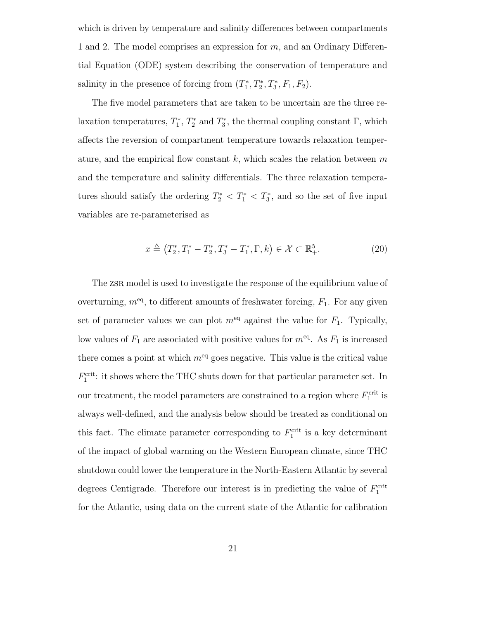which is driven by temperature and salinity differences between compartments 1 and 2. The model comprises an expression for  $m$ , and an Ordinary Differential Equation (ODE) system describing the conservation of temperature and salinity in the presence of forcing from  $(T_1^*)$  $T_1^*, T_2^*$  $T_2^*, T_3^*$  $j_3^*, F_1, F_2$ .

The five model parameters that are taken to be uncertain are the three relaxation temperatures,  $T_1^*$  $T_1^*, T_2^*$ <sup>1\*</sup><sub>2</sub><sup>\*</sup> and  $T_3^*$  $\mathfrak{z}^*$ , the thermal coupling constant  $\Gamma$ , which affects the reversion of compartment temperature towards relaxation temperature, and the empirical flow constant k, which scales the relation between  $m$ and the temperature and salinity differentials. The three relaxation temperatures should satisfy the ordering  $T_2^* < T_1^* < T_3^*$ 3 , and so the set of five input variables are re-parameterised as

$$
x \triangleq (T_2^*, T_1^* - T_2^*, T_3^* - T_1^*, \Gamma, k) \in \mathcal{X} \subset \mathbb{R}_+^5.
$$
 (20)

The zsr model is used to investigate the response of the equilibrium value of overturning,  $m<sup>eq</sup>$ , to different amounts of freshwater forcing,  $F_1$ . For any given set of parameter values we can plot  $m^{eq}$  against the value for  $F_1$ . Typically, low values of  $F_1$  are associated with positive values for  $m<sup>eq</sup>$ . As  $F_1$  is increased there comes a point at which  $m<sup>eq</sup>$  goes negative. This value is the critical value  $F_1^{\text{crit}}$ : it shows where the THC shuts down for that particular parameter set. In our treatment, the model parameters are constrained to a region where  $F_1^{\text{crit}}$  is always well-defined, and the analysis below should be treated as conditional on this fact. The climate parameter corresponding to  $F_1^{\text{crit}}$  is a key determinant of the impact of global warming on the Western European climate, since THC shutdown could lower the temperature in the North-Eastern Atlantic by several degrees Centigrade. Therefore our interest is in predicting the value of  $F_1^{\text{crit}}$ for the Atlantic, using data on the current state of the Atlantic for calibration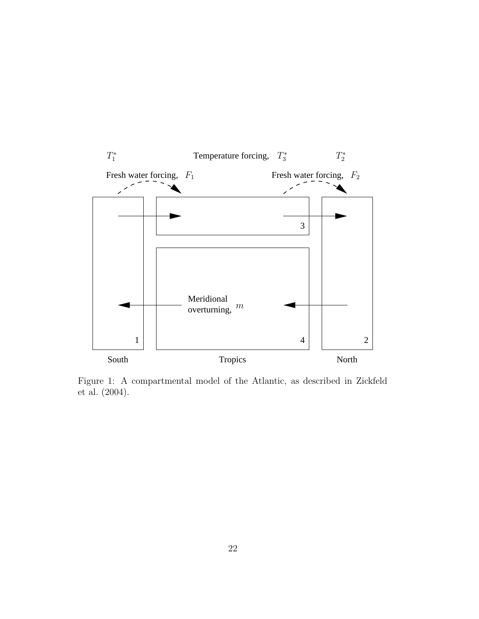

Figure 1: A compartmental model of the Atlantic, as described in Zickfeld et al. (2004).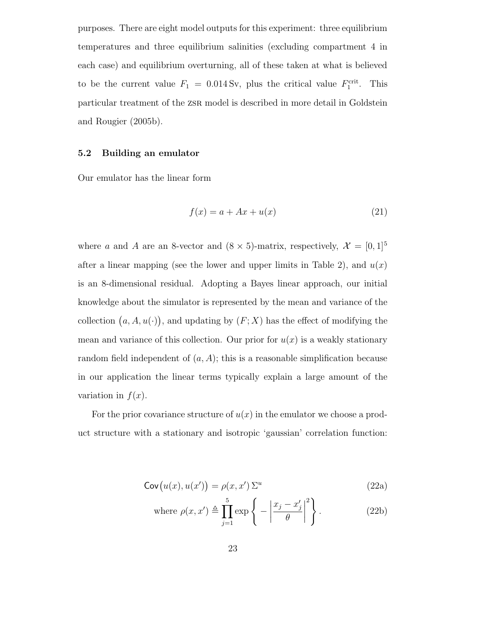purposes. There are eight model outputs for this experiment: three equilibrium temperatures and three equilibrium salinities (excluding compartment 4 in each case) and equilibrium overturning, all of these taken at what is believed to be the current value  $F_1 = 0.014 \text{ Sv}$ , plus the critical value  $F_1^{\text{crit}}$ . This particular treatment of the zsr model is described in more detail in Goldstein and Rougier (2005b).

#### 5.2 Building an emulator

Our emulator has the linear form

$$
f(x) = a + Ax + u(x) \tag{21}
$$

where a and A are an 8-vector and  $(8 \times 5)$ -matrix, respectively,  $\mathcal{X} = [0, 1]^5$ after a linear mapping (see the lower and upper limits in Table 2), and  $u(x)$ is an 8-dimensional residual. Adopting a Bayes linear approach, our initial knowledge about the simulator is represented by the mean and variance of the collection  $(a, A, u(\cdot))$ , and updating by  $(F; X)$  has the effect of modifying the mean and variance of this collection. Our prior for  $u(x)$  is a weakly stationary random field independent of  $(a, A)$ ; this is a reasonable simplification because in our application the linear terms typically explain a large amount of the variation in  $f(x)$ .

For the prior covariance structure of  $u(x)$  in the emulator we choose a product structure with a stationary and isotropic 'gaussian' correlation function:

$$
\operatorname{Cov}\big(u(x), u(x')\big) = \rho(x, x') \, \Sigma^u \tag{22a}
$$

where 
$$
\rho(x, x') \triangleq \prod_{j=1}^{5} \exp\left\{-\left|\frac{x_j - x'_j}{\theta}\right|^2\right\}.
$$
 (22b)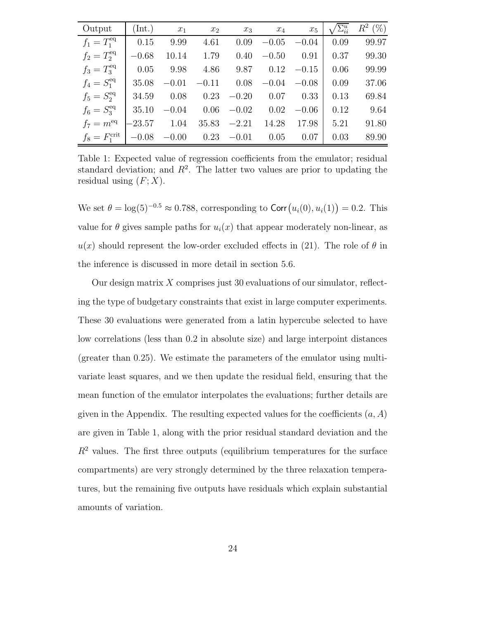| Output                    | (Int.)   | $x_1$   | $x_2$   | $x_3$   | $x_4$   | $x_5$   | $\sum_{ii}^u$ | $R^2$ (%) |
|---------------------------|----------|---------|---------|---------|---------|---------|---------------|-----------|
| $f_1 = T_1^{\text{eq}}$   | 0.15     | 9.99    | 4.61    | 0.09    | $-0.05$ | $-0.04$ | 0.09          | 99.97     |
| $f_2=T_2^{\text{eq}}$     | $-0.68$  | 10.14   | 1.79    | 0.40    | $-0.50$ | 0.91    | 0.37          | 99.30     |
| $f_3 = T_3^{\text{eq}}$   | 0.05     | 9.98    | 4.86    | 9.87    | 0.12    | $-0.15$ | 0.06          | 99.99     |
| $f_4 = S_1^{\text{eq}}$   | 35.08    | $-0.01$ | $-0.11$ | 0.08    | $-0.04$ | $-0.08$ | 0.09          | 37.06     |
| $f_5 = S_2^{\text{eq}}$   | 34.59    | 0.08    | 0.23    | $-0.20$ | 0.07    | 0.33    | 0.13          | 69.84     |
| $f_6 = S_3^{\text{eq}}$   | 35.10    | $-0.04$ | 0.06    | $-0.02$ | 0.02    | $-0.06$ | 0.12          | 9.64      |
| $f_7 = m^{\text{eq}}$     | $-23.57$ | 1.04    | 35.83   | $-2.21$ | 14.28   | 17.98   | 5.21          | 91.80     |
| $f_8 = F_1^{\text{crit}}$ | $-0.08$  | $-0.00$ | 0.23    | $-0.01$ | 0.05    | 0.07    | 0.03          | 89.90     |

Table 1: Expected value of regression coefficients from the emulator; residual standard deviation; and  $R^2$ . The latter two values are prior to updating the residual using  $(F; X)$ .

We set  $\theta = \log(5)^{-0.5} \approx 0.788$ , corresponding to Corr $(u_i(0), u_i(1)) = 0.2$ . This value for  $\theta$  gives sample paths for  $u_i(x)$  that appear moderately non-linear, as  $u(x)$  should represent the low-order excluded effects in (21). The role of  $\theta$  in the inference is discussed in more detail in section 5.6.

Our design matrix  $X$  comprises just 30 evaluations of our simulator, reflecting the type of budgetary constraints that exist in large computer experiments. These 30 evaluations were generated from a latin hypercube selected to have low correlations (less than 0.2 in absolute size) and large interpoint distances (greater than 0.25). We estimate the parameters of the emulator using multivariate least squares, and we then update the residual field, ensuring that the mean function of the emulator interpolates the evaluations; further details are given in the Appendix. The resulting expected values for the coefficients  $(a, A)$ are given in Table 1, along with the prior residual standard deviation and the  $R<sup>2</sup>$  values. The first three outputs (equilibrium temperatures for the surface compartments) are very strongly determined by the three relaxation temperatures, but the remaining five outputs have residuals which explain substantial amounts of variation.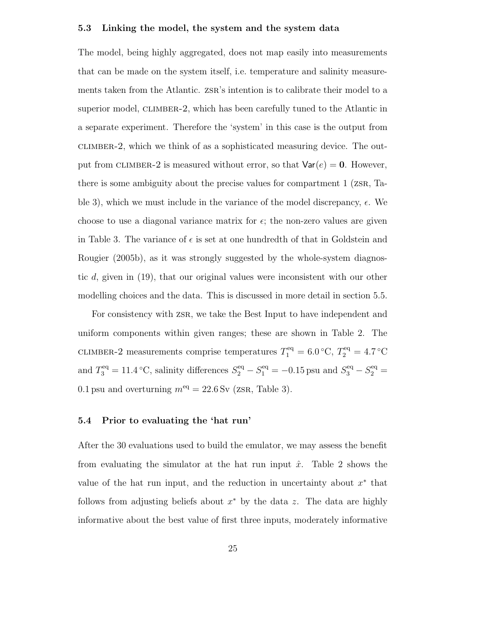#### 5.3 Linking the model, the system and the system data

The model, being highly aggregated, does not map easily into measurements that can be made on the system itself, i.e. temperature and salinity measurements taken from the Atlantic. zsr's intention is to calibrate their model to a superior model, CLIMBER-2, which has been carefully tuned to the Atlantic in a separate experiment. Therefore the 'system' in this case is the output from climber-2, which we think of as a sophisticated measuring device. The output from CLIMBER-2 is measured without error, so that  $Var(e) = 0$ . However, there is some ambiguity about the precise values for compartment 1 (zsr, Table 3), which we must include in the variance of the model discrepancy,  $\epsilon$ . We choose to use a diagonal variance matrix for  $\epsilon$ ; the non-zero values are given in Table 3. The variance of  $\epsilon$  is set at one hundredth of that in Goldstein and Rougier (2005b), as it was strongly suggested by the whole-system diagnostic d, given in (19), that our original values were inconsistent with our other modelling choices and the data. This is discussed in more detail in section 5.5.

For consistency with zsr, we take the Best Input to have independent and uniform components within given ranges; these are shown in Table 2. The CLIMBER-2 measurements comprise temperatures  $T_1^{\text{eq}} = 6.0 \degree \text{C}, T_2^{\text{eq}} = 4.7 \degree \text{C}$ and  $T_3^{\text{eq}} = 11.4 \text{ }^{\circ}\text{C}$ , salinity differences  $S_2^{\text{eq}} - S_1^{\text{eq}} = -0.15 \text{ psu}$  and  $S_3^{\text{eq}} - S_2^{\text{eq}} =$ 0.1 psu and overturning  $m<sup>eq</sup> = 22.6$  Sv (zsr, Table 3).

### 5.4 Prior to evaluating the 'hat run'

After the 30 evaluations used to build the emulator, we may assess the benefit from evaluating the simulator at the hat run input  $\hat{x}$ . Table 2 shows the value of the hat run input, and the reduction in uncertainty about  $x^*$  that follows from adjusting beliefs about  $x^*$  by the data z. The data are highly informative about the best value of first three inputs, moderately informative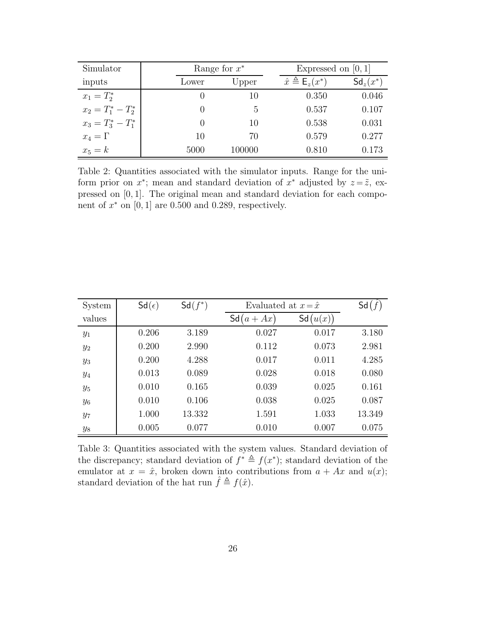| Simulator             |                  | Range for $x^*$ |                                        | Expressed on $[0,1]$ |  |  |
|-----------------------|------------------|-----------------|----------------------------------------|----------------------|--|--|
| inputs                | Lower            | Upper           | $\hat{x} \triangleq \mathsf{E}_z(x^*)$ | $\mathsf{Sd}_z(x^*)$ |  |  |
| $x_1 = T_2^*$         | $\cup$           | 10              | 0.350                                  | 0.046                |  |  |
| $x_2 = T_1^* - T_2^*$ | $\left( \right)$ | 5               | 0.537                                  | 0.107                |  |  |
| $x_3 = T_3^* - T_1^*$ | $\left( \right)$ | 10              | 0.538                                  | 0.031                |  |  |
| $x_4=\Gamma$          | 10               | 70              | 0.579                                  | 0.277                |  |  |
| $x_5 = k$             | 5000             | 100000          | 0.810                                  | 0.173                |  |  |

Table 2: Quantities associated with the simulator inputs. Range for the uniform prior on  $x^*$ ; mean and standard deviation of  $x^*$  adjusted by  $z = \tilde{z}$ , expressed on [0, 1]. The original mean and standard deviation for each component of  $x^*$  on [0, 1] are 0.500 and 0.289, respectively.

| System  | $Sd(\epsilon)$ | $Sd(f^*)$ |                                   | Evaluated at $x = \hat{x}$ |        |  |
|---------|----------------|-----------|-----------------------------------|----------------------------|--------|--|
| values  |                |           | Sd<br>Ax)<br>$\mathfrak a$<br>$+$ | Sd<br>$\{u(x)\}\$          |        |  |
| $y_1$   | 0.206          | 3.189     | 0.027                             | 0.017                      | 3.180  |  |
| $y_2$   | 0.200          | 2.990     | 0.112                             | 0.073                      | 2.981  |  |
| $y_3$   | 0.200          | 4.288     | 0.017                             | 0.011                      | 4.285  |  |
| $y_4$   | 0.013          | 0.089     | 0.028                             | 0.018                      | 0.080  |  |
| $y_5$   | 0.010          | 0.165     | 0.039                             | 0.025                      | 0.161  |  |
| $y_{6}$ | 0.010          | 0.106     | 0.038                             | 0.025                      | 0.087  |  |
| $y_7$   | 1.000          | 13.332    | 1.591                             | 1.033                      | 13.349 |  |
| $y_8$   | 0.005          | 0.077     | 0.010                             | 0.007                      | 0.075  |  |

Table 3: Quantities associated with the system values. Standard deviation of the discrepancy; standard deviation of  $f^* \triangleq f(x^*)$ ; standard deviation of the emulator at  $x = \hat{x}$ , broken down into contributions from  $a + Ax$  and  $u(x)$ ; standard deviation of the hat run  $\hat{f} \triangleq f(\hat{x})$ .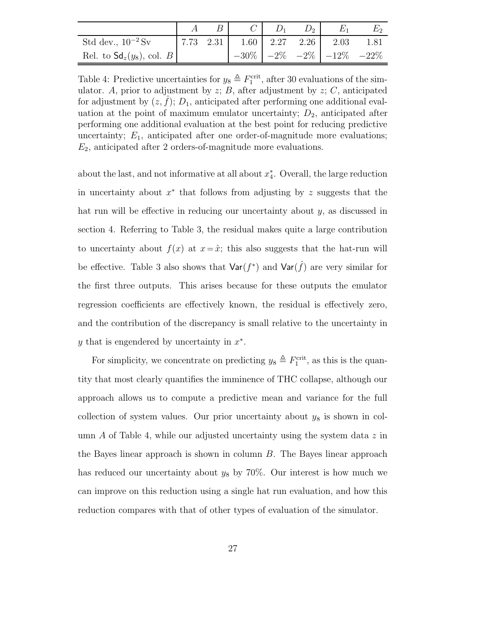| Std dev., $10^{-2}$ Sv                |  | $\begin{array}{ c c c c c c c c c c c } \hline 7.73 & 2.31 & 1.60 & 2.27 & 2.26 & 2.03 \ \hline \end{array}$ |  |                                       | 1.81 |
|---------------------------------------|--|--------------------------------------------------------------------------------------------------------------|--|---------------------------------------|------|
| Rel. to $\mathsf{Sd}_z(y_8)$ , col. B |  |                                                                                                              |  | $-30\%$ $-2\%$ $-2\%$ $-12\%$ $-22\%$ |      |

Table 4: Predictive uncertainties for  $y_8 \triangleq F_1^{\text{crit}}$ , after 30 evaluations of the simulator. A, prior to adjustment by  $z$ ;  $B$ , after adjustment by  $z$ ;  $C$ , anticipated for adjustment by  $(z, \hat{f})$ ;  $D_1$ , anticipated after performing one additional evaluation at the point of maximum emulator uncertainty;  $D_2$ , anticipated after performing one additional evaluation at the best point for reducing predictive uncertainty;  $E_1$ , anticipated after one order-of-magnitude more evaluations;  $E_2$ , anticipated after 2 orders-of-magnitude more evaluations.

about the last, and not informative at all about  $x_4^*$ 4 . Overall, the large reduction in uncertainty about  $x^*$  that follows from adjusting by z suggests that the hat run will be effective in reducing our uncertainty about y, as discussed in section 4. Referring to Table 3, the residual makes quite a large contribution to uncertainty about  $f(x)$  at  $x = \hat{x}$ ; this also suggests that the hat-run will be effective. Table 3 also shows that  $\text{Var}(f^*)$  and  $\text{Var}(\hat{f})$  are very similar for the first three outputs. This arises because for these outputs the emulator regression coefficients are effectively known, the residual is effectively zero, and the contribution of the discrepancy is small relative to the uncertainty in y that is engendered by uncertainty in  $x^*$ .

For simplicity, we concentrate on predicting  $y_8 \triangleq F_1^{\text{crit}}$ , as this is the quantity that most clearly quantifies the imminence of THC collapse, although our approach allows us to compute a predictive mean and variance for the full collection of system values. Our prior uncertainty about  $y_8$  is shown in column  $\tilde{A}$  of Table 4, while our adjusted uncertainty using the system data z in the Bayes linear approach is shown in column B. The Bayes linear approach has reduced our uncertainty about  $y_8$  by 70%. Our interest is how much we can improve on this reduction using a single hat run evaluation, and how this reduction compares with that of other types of evaluation of the simulator.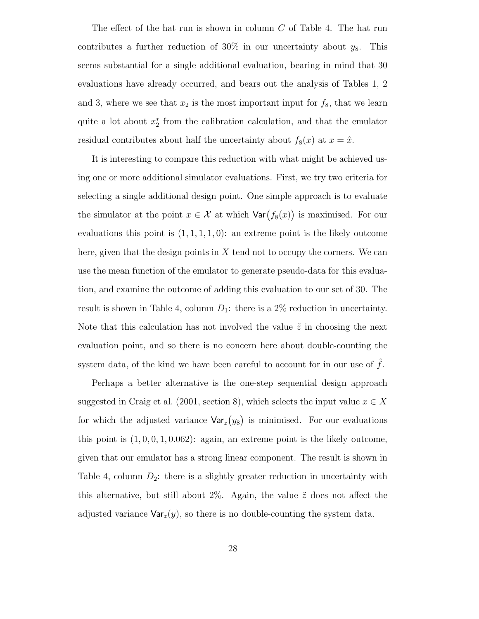The effect of the hat run is shown in column C of Table 4. The hat run contributes a further reduction of 30% in our uncertainty about  $y_8$ . This seems substantial for a single additional evaluation, bearing in mind that 30 evaluations have already occurred, and bears out the analysis of Tables 1, 2 and 3, where we see that  $x_2$  is the most important input for  $f_8$ , that we learn quite a lot about  $x_2^*$ 2 from the calibration calculation, and that the emulator residual contributes about half the uncertainty about  $f_8(x)$  at  $x = \hat{x}$ .

It is interesting to compare this reduction with what might be achieved using one or more additional simulator evaluations. First, we try two criteria for selecting a single additional design point. One simple approach is to evaluate the simulator at the point  $x \in \mathcal{X}$  at which  $\text{Var}(f_8(x))$  is maximised. For our evaluations this point is  $(1, 1, 1, 1, 0)$ : an extreme point is the likely outcome here, given that the design points in  $X$  tend not to occupy the corners. We can use the mean function of the emulator to generate pseudo-data for this evaluation, and examine the outcome of adding this evaluation to our set of 30. The result is shown in Table 4, column  $D_1$ : there is a 2% reduction in uncertainty. Note that this calculation has not involved the value  $\tilde{z}$  in choosing the next evaluation point, and so there is no concern here about double-counting the system data, of the kind we have been careful to account for in our use of  $f$ .

Perhaps a better alternative is the one-step sequential design approach suggested in Craig et al. (2001, section 8), which selects the input value  $x \in X$ for which the adjusted variance  $\text{Var}_z(y_8)$  is minimised. For our evaluations this point is  $(1, 0, 0, 1, 0.062)$ : again, an extreme point is the likely outcome, given that our emulator has a strong linear component. The result is shown in Table 4, column  $D_2$ : there is a slightly greater reduction in uncertainty with this alternative, but still about 2%. Again, the value  $\tilde{z}$  does not affect the adjusted variance  $\text{Var}_z(y)$ , so there is no double-counting the system data.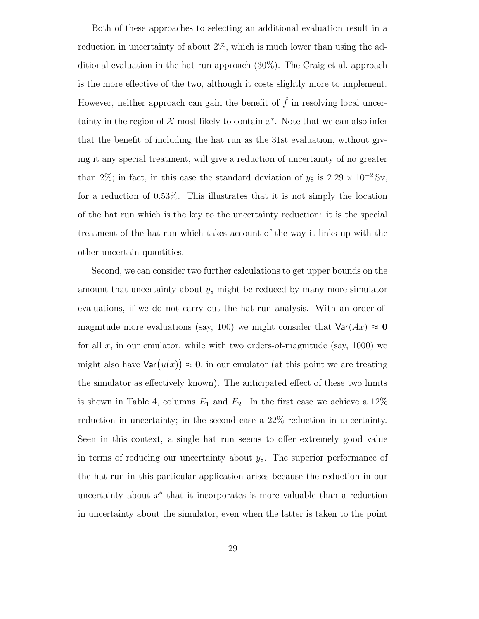Both of these approaches to selecting an additional evaluation result in a reduction in uncertainty of about 2%, which is much lower than using the additional evaluation in the hat-run approach (30%). The Craig et al. approach is the more effective of the two, although it costs slightly more to implement. However, neither approach can gain the benefit of  $\hat{f}$  in resolving local uncertainty in the region of  $\mathcal X$  most likely to contain  $x^*$ . Note that we can also infer that the benefit of including the hat run as the 31st evaluation, without giving it any special treatment, will give a reduction of uncertainty of no greater than 2%; in fact, in this case the standard deviation of  $y_8$  is 2.29 × 10<sup>-2</sup> Sv, for a reduction of 0.53%. This illustrates that it is not simply the location of the hat run which is the key to the uncertainty reduction: it is the special treatment of the hat run which takes account of the way it links up with the other uncertain quantities.

Second, we can consider two further calculations to get upper bounds on the amount that uncertainty about  $y_8$  might be reduced by many more simulator evaluations, if we do not carry out the hat run analysis. With an order-ofmagnitude more evaluations (say, 100) we might consider that  $\text{Var}(Ax) \approx 0$ for all  $x$ , in our emulator, while with two orders-of-magnitude (say, 1000) we might also have  $\text{Var}(u(x)) \approx 0$ , in our emulator (at this point we are treating the simulator as effectively known). The anticipated effect of these two limits is shown in Table 4, columns  $E_1$  and  $E_2$ . In the first case we achieve a 12% reduction in uncertainty; in the second case a 22% reduction in uncertainty. Seen in this context, a single hat run seems to offer extremely good value in terms of reducing our uncertainty about  $y_8$ . The superior performance of the hat run in this particular application arises because the reduction in our uncertainty about  $x^*$  that it incorporates is more valuable than a reduction in uncertainty about the simulator, even when the latter is taken to the point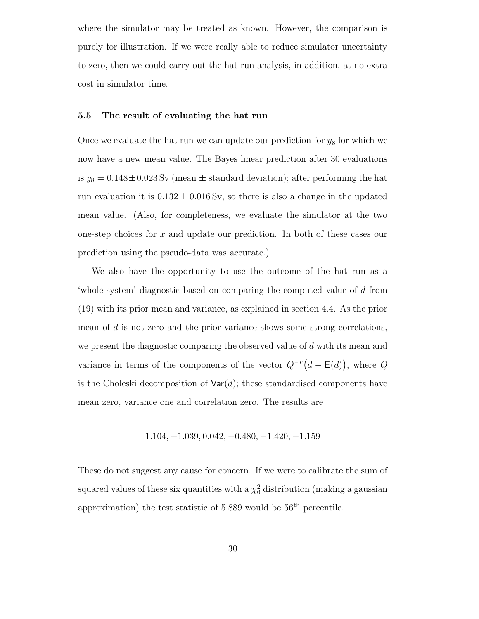where the simulator may be treated as known. However, the comparison is purely for illustration. If we were really able to reduce simulator uncertainty to zero, then we could carry out the hat run analysis, in addition, at no extra cost in simulator time.

#### 5.5 The result of evaluating the hat run

Once we evaluate the hat run we can update our prediction for  $y_8$  for which we now have a new mean value. The Bayes linear prediction after 30 evaluations is  $y_8 = 0.148 \pm 0.023$  Sv (mean  $\pm$  standard deviation); after performing the hat run evaluation it is  $0.132 \pm 0.016$  Sv, so there is also a change in the updated mean value. (Also, for completeness, we evaluate the simulator at the two one-step choices for x and update our prediction. In both of these cases our prediction using the pseudo-data was accurate.)

We also have the opportunity to use the outcome of the hat run as a 'whole-system' diagnostic based on comparing the computed value of d from (19) with its prior mean and variance, as explained in section 4.4. As the prior mean of d is not zero and the prior variance shows some strong correlations, we present the diagnostic comparing the observed value of d with its mean and variance in terms of the components of the vector  $Q^{-T}(d - \mathsf{E}(d))$ , where Q is the Choleski decomposition of  $\text{Var}(d)$ ; these standardised components have mean zero, variance one and correlation zero. The results are

$$
1.104, -1.039, 0.042, -0.480, -1.420, -1.159
$$

These do not suggest any cause for concern. If we were to calibrate the sum of squared values of these six quantities with a  $\chi^2_6$  distribution (making a gaussian approximation) the test statistic of  $5.889$  would be  $56<sup>th</sup>$  percentile.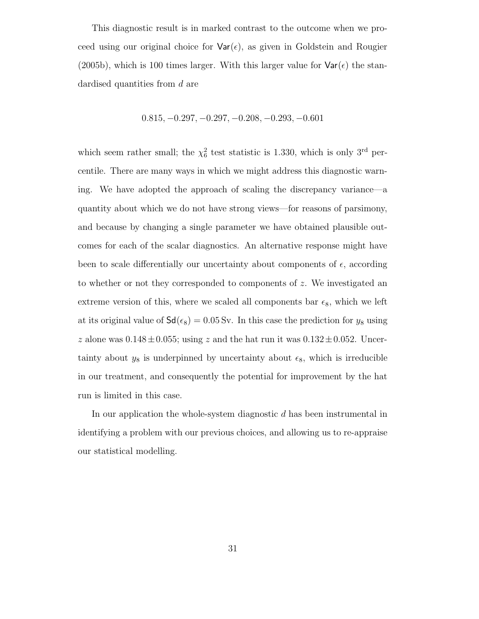This diagnostic result is in marked contrast to the outcome when we proceed using our original choice for  $\text{Var}(\epsilon)$ , as given in Goldstein and Rougier (2005b), which is 100 times larger. With this larger value for  $\text{Var}(\epsilon)$  the standardised quantities from d are

$$
0.815, -0.297, -0.297, -0.208, -0.293, -0.601
$$

which seem rather small; the  $\chi^2_6$  test statistic is 1.330, which is only 3<sup>rd</sup> percentile. There are many ways in which we might address this diagnostic warning. We have adopted the approach of scaling the discrepancy variance—a quantity about which we do not have strong views—for reasons of parsimony, and because by changing a single parameter we have obtained plausible outcomes for each of the scalar diagnostics. An alternative response might have been to scale differentially our uncertainty about components of  $\epsilon$ , according to whether or not they corresponded to components of z. We investigated an extreme version of this, where we scaled all components bar  $\epsilon_8$ , which we left at its original value of  $\mathsf{Sd}(\epsilon_8) = 0.05 \,\text{Sv}$ . In this case the prediction for  $y_8$  using z alone was  $0.148 \pm 0.055$ ; using z and the hat run it was  $0.132 \pm 0.052$ . Uncertainty about  $y_8$  is underpinned by uncertainty about  $\epsilon_8$ , which is irreducible in our treatment, and consequently the potential for improvement by the hat run is limited in this case.

In our application the whole-system diagnostic d has been instrumental in identifying a problem with our previous choices, and allowing us to re-appraise our statistical modelling.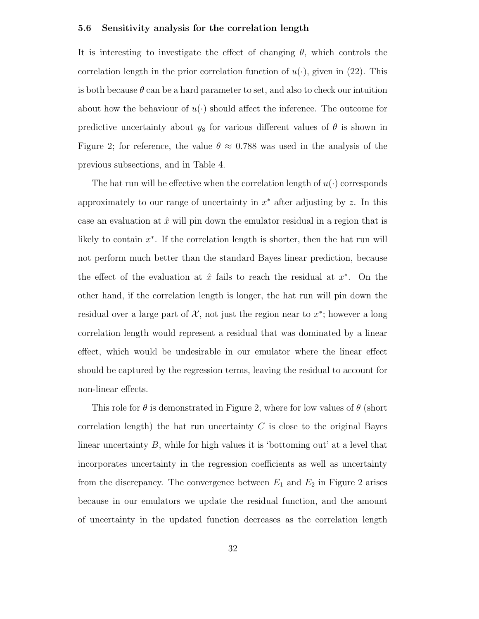#### 5.6 Sensitivity analysis for the correlation length

It is interesting to investigate the effect of changing  $\theta$ , which controls the correlation length in the prior correlation function of  $u(\cdot)$ , given in (22). This is both because  $\theta$  can be a hard parameter to set, and also to check our intuition about how the behaviour of  $u(\cdot)$  should affect the inference. The outcome for predictive uncertainty about  $y_8$  for various different values of  $\theta$  is shown in Figure 2; for reference, the value  $\theta \approx 0.788$  was used in the analysis of the previous subsections, and in Table 4.

The hat run will be effective when the correlation length of  $u(\cdot)$  corresponds approximately to our range of uncertainty in  $x^*$  after adjusting by z. In this case an evaluation at  $\hat{x}$  will pin down the emulator residual in a region that is likely to contain  $x^*$ . If the correlation length is shorter, then the hat run will not perform much better than the standard Bayes linear prediction, because the effect of the evaluation at  $\hat{x}$  fails to reach the residual at  $x^*$ . On the other hand, if the correlation length is longer, the hat run will pin down the residual over a large part of  $\mathcal{X}$ , not just the region near to  $x^*$ ; however a long correlation length would represent a residual that was dominated by a linear effect, which would be undesirable in our emulator where the linear effect should be captured by the regression terms, leaving the residual to account for non-linear effects.

This role for  $\theta$  is demonstrated in Figure 2, where for low values of  $\theta$  (short correlation length) the hat run uncertainty  $C$  is close to the original Bayes linear uncertainty B, while for high values it is 'bottoming out' at a level that incorporates uncertainty in the regression coefficients as well as uncertainty from the discrepancy. The convergence between  $E_1$  and  $E_2$  in Figure 2 arises because in our emulators we update the residual function, and the amount of uncertainty in the updated function decreases as the correlation length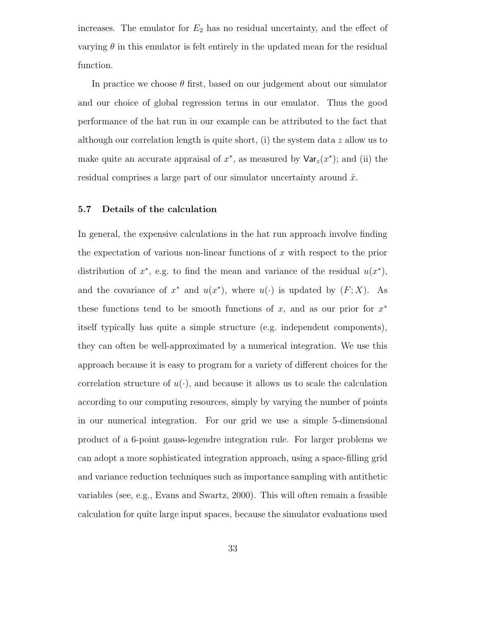increases. The emulator for  $E_2$  has no residual uncertainty, and the effect of varying  $\theta$  in this emulator is felt entirely in the updated mean for the residual function.

In practice we choose  $\theta$  first, based on our judgement about our simulator and our choice of global regression terms in our emulator. Thus the good performance of the hat run in our example can be attributed to the fact that although our correlation length is quite short, (i) the system data z allow us to make quite an accurate appraisal of  $x^*$ , as measured by  $\text{Var}_z(x^*)$ ; and (ii) the residual comprises a large part of our simulator uncertainty around  $\hat{x}$ .

#### 5.7 Details of the calculation

In general, the expensive calculations in the hat run approach involve finding the expectation of various non-linear functions of  $x$  with respect to the prior distribution of  $x^*$ , e.g. to find the mean and variance of the residual  $u(x^*)$ , and the covariance of  $x^*$  and  $u(x^*)$ , where  $u(\cdot)$  is updated by  $(F; X)$ . As these functions tend to be smooth functions of x, and as our prior for  $x^*$ itself typically has quite a simple structure (e.g. independent components), they can often be well-approximated by a numerical integration. We use this approach because it is easy to program for a variety of different choices for the correlation structure of  $u(\cdot)$ , and because it allows us to scale the calculation according to our computing resources, simply by varying the number of points in our numerical integration. For our grid we use a simple 5-dimensional product of a 6-point gauss-legendre integration rule. For larger problems we can adopt a more sophisticated integration approach, using a space-filling grid and variance reduction techniques such as importance sampling with antithetic variables (see, e.g., Evans and Swartz, 2000). This will often remain a feasible calculation for quite large input spaces, because the simulator evaluations used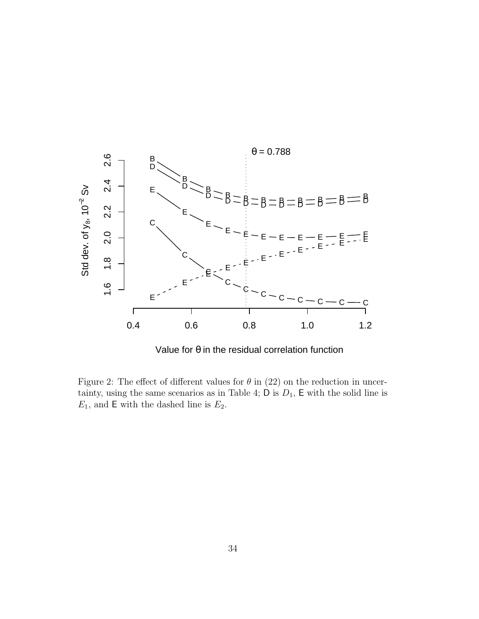

Value for θ in the residual correlation function

Figure 2: The effect of different values for  $\theta$  in (22) on the reduction in uncertainty, using the same scenarios as in Table 4;  $D$  is  $D_1$ ,  $E$  with the solid line is  $E_1$ , and **E** with the dashed line is  $E_2$ .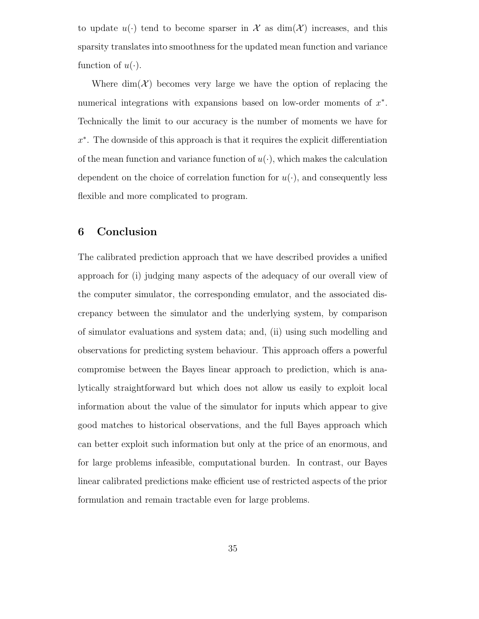to update  $u(\cdot)$  tend to become sparser in X as  $\dim(\mathcal{X})$  increases, and this sparsity translates into smoothness for the updated mean function and variance function of  $u(\cdot)$ .

Where  $\dim(\mathcal{X})$  becomes very large we have the option of replacing the numerical integrations with expansions based on low-order moments of  $x^*$ . Technically the limit to our accuracy is the number of moments we have for x ∗ . The downside of this approach is that it requires the explicit differentiation of the mean function and variance function of  $u(\cdot)$ , which makes the calculation dependent on the choice of correlation function for  $u(\cdot)$ , and consequently less flexible and more complicated to program.

## 6 Conclusion

The calibrated prediction approach that we have described provides a unified approach for (i) judging many aspects of the adequacy of our overall view of the computer simulator, the corresponding emulator, and the associated discrepancy between the simulator and the underlying system, by comparison of simulator evaluations and system data; and, (ii) using such modelling and observations for predicting system behaviour. This approach offers a powerful compromise between the Bayes linear approach to prediction, which is analytically straightforward but which does not allow us easily to exploit local information about the value of the simulator for inputs which appear to give good matches to historical observations, and the full Bayes approach which can better exploit such information but only at the price of an enormous, and for large problems infeasible, computational burden. In contrast, our Bayes linear calibrated predictions make efficient use of restricted aspects of the prior formulation and remain tractable even for large problems.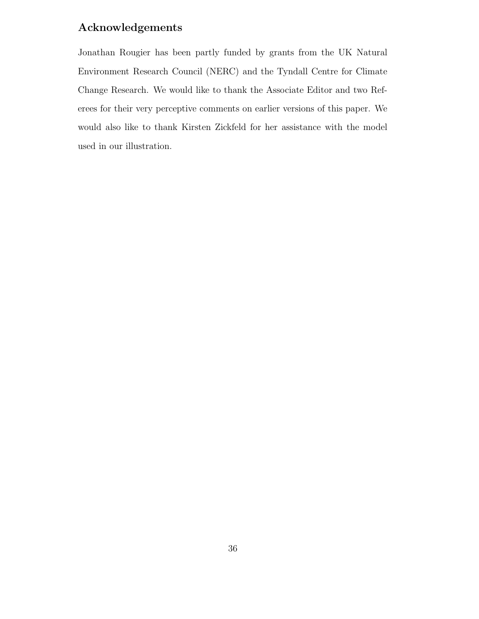# Acknowledgements

Jonathan Rougier has been partly funded by grants from the UK Natural Environment Research Council (NERC) and the Tyndall Centre for Climate Change Research. We would like to thank the Associate Editor and two Referees for their very perceptive comments on earlier versions of this paper. We would also like to thank Kirsten Zickfeld for her assistance with the model used in our illustration.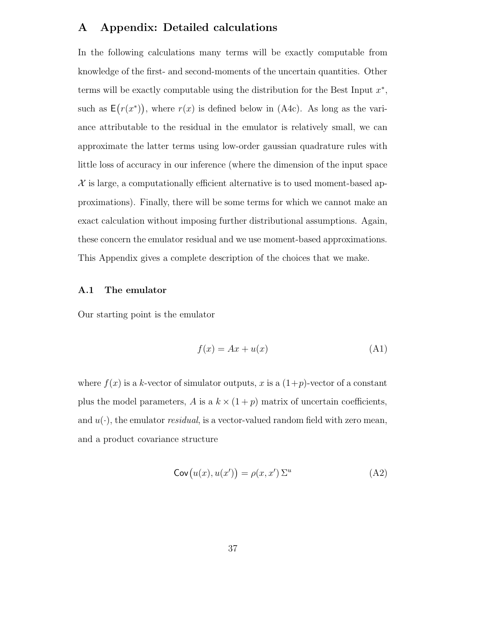# A Appendix: Detailed calculations

In the following calculations many terms will be exactly computable from knowledge of the first- and second-moments of the uncertain quantities. Other terms will be exactly computable using the distribution for the Best Input  $x^*$ , such as  $E(r(x^*))$ , where  $r(x)$  is defined below in (A4c). As long as the variance attributable to the residual in the emulator is relatively small, we can approximate the latter terms using low-order gaussian quadrature rules with little loss of accuracy in our inference (where the dimension of the input space  $\mathcal X$  is large, a computationally efficient alternative is to used moment-based approximations). Finally, there will be some terms for which we cannot make an exact calculation without imposing further distributional assumptions. Again, these concern the emulator residual and we use moment-based approximations. This Appendix gives a complete description of the choices that we make.

#### A.1 The emulator

Our starting point is the emulator

$$
f(x) = Ax + u(x) \tag{A1}
$$

where  $f(x)$  is a k-vector of simulator outputs, x is a  $(1+p)$ -vector of a constant plus the model parameters, A is a  $k \times (1+p)$  matrix of uncertain coefficients, and  $u(\cdot)$ , the emulator *residual*, is a vector-valued random field with zero mean, and a product covariance structure

$$
Cov(u(x), u(x')) = \rho(x, x') \Sigma^u
$$
 (A2)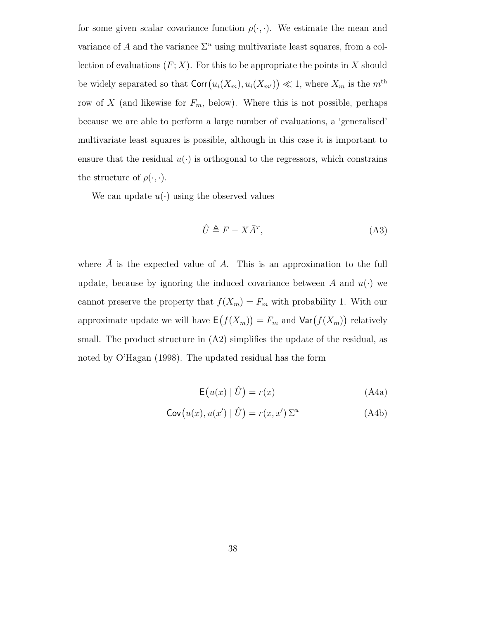for some given scalar covariance function  $\rho(\cdot,\cdot)$ . We estimate the mean and variance of A and the variance  $\Sigma^u$  using multivariate least squares, from a collection of evaluations  $(F; X)$ . For this to be appropriate the points in X should be widely separated so that  $\text{Corr}(u_i(X_m), u_i(X_{m'})) \ll 1$ , where  $X_m$  is the  $m^{\text{th}}$ row of X (and likewise for  $F_m$ , below). Where this is not possible, perhaps because we are able to perform a large number of evaluations, a 'generalised' multivariate least squares is possible, although in this case it is important to ensure that the residual  $u(\cdot)$  is orthogonal to the regressors, which constrains the structure of  $\rho(\cdot,\cdot)$ .

We can update  $u(\cdot)$  using the observed values

$$
\hat{U} \triangleq F - X\bar{A}^T,\tag{A3}
$$

where  $\overline{A}$  is the expected value of A. This is an approximation to the full update, because by ignoring the induced covariance between A and  $u(\cdot)$  we cannot preserve the property that  $f(X_m) = F_m$  with probability 1. With our approximate update we will have  $\mathsf{E}(f(X_m)) = F_m$  and  $\mathsf{Var}(f(X_m))$  relatively small. The product structure in (A2) simplifies the update of the residual, as noted by O'Hagan (1998). The updated residual has the form

$$
E(u(x) | \hat{U}) = r(x) \tag{A4a}
$$

$$
\mathsf{Cov}\big(u(x), u(x') \mid \hat{U}\big) = r(x, x')\,\Sigma^u\tag{A4b}
$$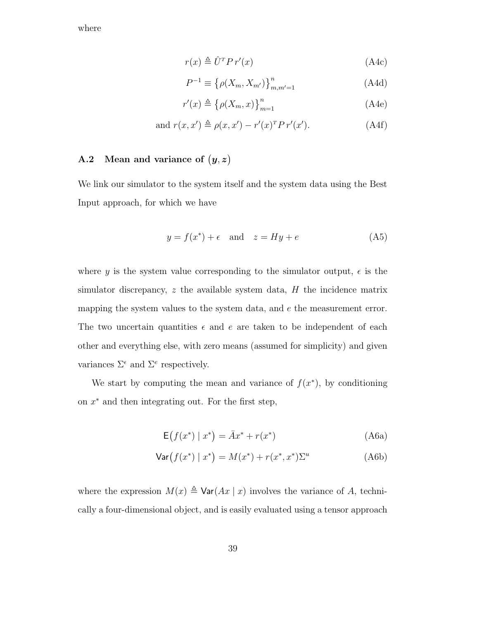where

$$
r(x) \triangleq \hat{U}^T P r'(x) \tag{A4c}
$$

$$
P^{-1} \equiv {\rho(X_m, X_{m'})}_{m,m'=1}^{n}
$$
 (A4d)

$$
r'(x) \triangleq {\left\{\rho(X_m, x)\right\}}_{m=1}^n \tag{A4e}
$$

and 
$$
r(x, x') \triangleq \rho(x, x') - r'(x)^T P r'(x')
$$
. (A4f)

## A.2 Mean and variance of  $(y, z)$

We link our simulator to the system itself and the system data using the Best Input approach, for which we have

$$
y = f(x^*) + \epsilon \quad \text{and} \quad z = Hy + e \tag{A5}
$$

where y is the system value corresponding to the simulator output,  $\epsilon$  is the simulator discrepancy,  $z$  the available system data,  $H$  the incidence matrix mapping the system values to the system data, and  $e$  the measurement error. The two uncertain quantities  $\epsilon$  and  $e$  are taken to be independent of each other and everything else, with zero means (assumed for simplicity) and given variances  $\Sigma^{\epsilon}$  and  $\Sigma^{\epsilon}$  respectively.

We start by computing the mean and variance of  $f(x^*)$ , by conditioning on  $x^*$  and then integrating out. For the first step,

$$
\mathsf{E}\left(f(x^*) \mid x^*\right) = \bar{A}x^* + r(x^*)\tag{A6a}
$$

$$
\text{Var}(f(x^*) | x^*) = M(x^*) + r(x^*, x^*) \Sigma^u \tag{A6b}
$$

where the expression  $M(x) \triangleq \text{Var}(Ax | x)$  involves the variance of A, technically a four-dimensional object, and is easily evaluated using a tensor approach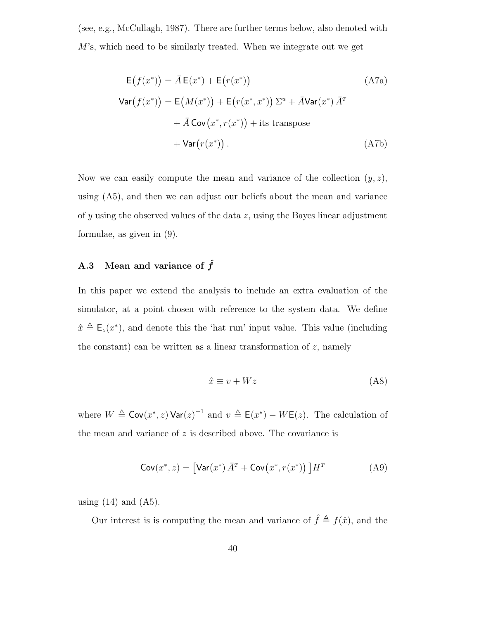(see, e.g., McCullagh, 1987). There are further terms below, also denoted with M's, which need to be similarly treated. When we integrate out we get

$$
E(f(x^*)) = \bar{A}E(x^*) + E(r(x^*))
$$
\n(A7a)  
\n
$$
Var(f(x^*)) = E(M(x^*)) + E(r(x^*, x^*)) \Sigma^u + \bar{A}Var(x^*) \bar{A}^T
$$
\n
$$
+ \bar{A}Cov(x^*, r(x^*)) + \text{its transpose}
$$
\n
$$
+ Var(r(x^*)) .
$$
\n(A7b)

Now we can easily compute the mean and variance of the collection  $(y, z)$ , using (A5), and then we can adjust our beliefs about the mean and variance of y using the observed values of the data z, using the Bayes linear adjustment formulae, as given in (9).

## A.3 Mean and variance of  $\hat{f}$

In this paper we extend the analysis to include an extra evaluation of the simulator, at a point chosen with reference to the system data. We define  $\hat{x} \triangleq \mathsf{E}_z(x^*)$ , and denote this the 'hat run' input value. This value (including the constant) can be written as a linear transformation of  $z$ , namely

$$
\hat{x} \equiv v + Wz \tag{A8}
$$

where  $W \triangleq \text{Cov}(x^*, z) \text{Var}(z)^{-1}$  and  $v \triangleq \text{E}(x^*) - W\text{E}(z)$ . The calculation of the mean and variance of  $z$  is described above. The covariance is

$$
\mathsf{Cov}(x^*, z) = \left[ \mathsf{Var}(x^*) \,\bar{A}^T + \mathsf{Cov}\big(x^*, r(x^*)\big) \,\right] H^T \tag{A9}
$$

using  $(14)$  and  $(A5)$ .

Our interest is is computing the mean and variance of  $\hat{f} \triangleq f(\hat{x})$ , and the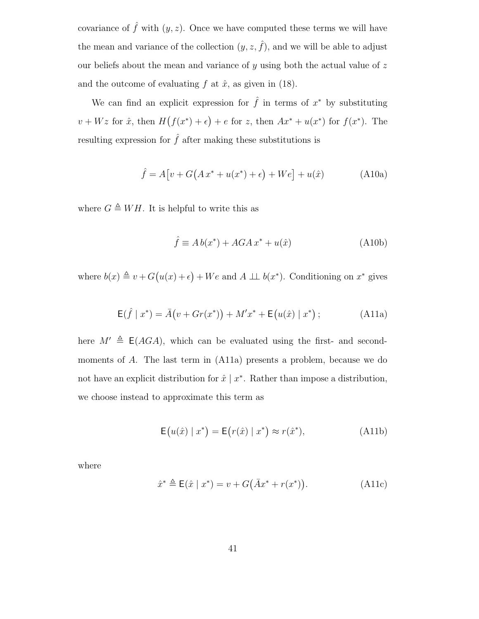covariance of  $\hat{f}$  with  $(y, z)$ . Once we have computed these terms we will have the mean and variance of the collection  $(y, z, \hat{f})$ , and we will be able to adjust our beliefs about the mean and variance of  $y$  using both the actual value of  $z$ and the outcome of evaluating f at  $\hat{x}$ , as given in (18).

We can find an explicit expression for  $\hat{f}$  in terms of  $x^*$  by substituting  $v + Wz$  for  $\hat{x}$ , then  $H(f(x^*) + \epsilon) + \epsilon$  for z, then  $Ax^* + u(x^*)$  for  $f(x^*)$ . The resulting expression for  $\hat{f}$  after making these substitutions is

$$
\hat{f} = A[v + G(A x^* + u(x^*) + \epsilon) + W\epsilon] + u(\hat{x})
$$
 (A10a)

where  $G \triangleq WH$ . It is helpful to write this as

$$
\hat{f} \equiv A b(x^*) + A G A x^* + u(\hat{x}) \tag{A10b}
$$

where  $b(x) \triangleq v + G(u(x) + \epsilon) + We$  and  $A \perp b(x^*)$ . Conditioning on  $x^*$  gives

$$
E(\hat{f} | x^*) = \bar{A}(v + Gr(x^*)) + M'x^* + E(u(\hat{x}) | x^*); \qquad (A11a)
$$

here  $M' \triangleq E(AGA)$ , which can be evaluated using the first- and secondmoments of A. The last term in (A11a) presents a problem, because we do not have an explicit distribution for  $\hat{x} \mid x^*$ . Rather than impose a distribution, we choose instead to approximate this term as

$$
\mathsf{E}\big(u(\hat{x}) \mid x^*\big) = \mathsf{E}\big(r(\hat{x}) \mid x^*\big) \approx r(\hat{x}^*),\tag{A11b}
$$

where

$$
\hat{x}^* \triangleq \mathsf{E}(\hat{x} \mid x^*) = v + G(\bar{A}x^* + r(x^*)). \tag{A11c}
$$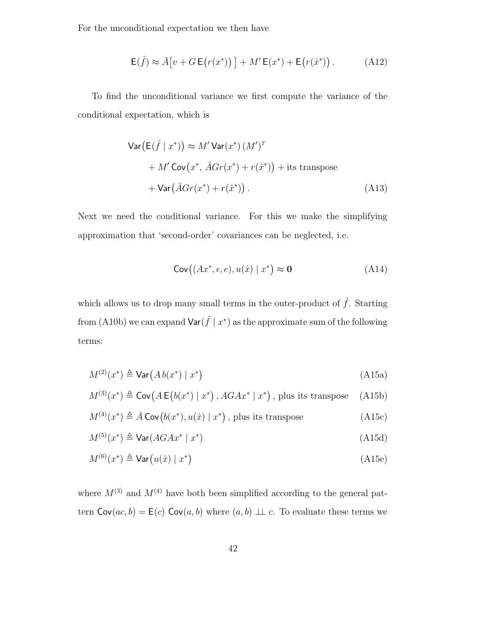For the unconditional expectation we then have

$$
\mathsf{E}(\hat{f}) \approx \bar{A}\big[v + G\,\mathsf{E}\big(r(x^*)\big)\big] + M'\,\mathsf{E}(x^*) + \mathsf{E}\big(r(\hat{x}^*)\big) \,. \tag{A12}
$$

To find the unconditional variance we first compute the variance of the conditional expectation, which is

$$
\operatorname{Var}\left(\mathsf{E}(\hat{f} \mid x^*)\right) \approx M' \operatorname{Var}(x^*) \left(M'\right)^{T}
$$
  
+ 
$$
M' \operatorname{Cov}\left(x^*, \bar{A}Gr(x^*) + r(\hat{x}^*)\right) + \text{its transpose}
$$
  
+ 
$$
\operatorname{Var}\left(\bar{A}Gr(x^*) + r(\hat{x}^*)\right). \tag{A13}
$$

Next we need the conditional variance. For this we make the simplifying approximation that 'second-order' covariances can be neglected, i.e.

$$
\mathsf{Cov}\big((Ax^*, \epsilon, e), u(\hat{x}) \mid x^*\big) \approx \mathbf{0} \tag{A14}
$$

which allows us to drop many small terms in the outer-product of  $\hat{f}$ . Starting from (A10b) we can expand  $\textsf{Var}(\hat{f} \mid x^*)$  as the approximate sum of the following terms:

$$
M^{(2)}(x^*) \triangleq \text{Var}\left(A\,b(x^*) \mid x^*\right) \tag{A15a}
$$

$$
M^{(3)}(x^*) \triangleq \text{Cov}\big(A\,\mathsf{E}\big(b(x^*) \mid x^*\big) \,, AGAx^* \mid x^*\big) \,, \text{ plus its transpose} \quad \text{(A15b)}
$$

$$
M^{(4)}(x^*) \triangleq \bar{A} \text{Cov}(b(x^*), u(\hat{x}) | x^*) , \text{ plus its transpose} \tag{A15c}
$$

$$
M^{(5)}(x^*) \triangleq \text{Var}(AGAx^* \mid x^*)
$$
\n(A15d)

$$
M^{(6)}(x^*) \triangleq \text{Var}\big(u(\hat{x}) \mid x^*\big) \tag{A15e}
$$

where  $M^{(3)}$  and  $M^{(4)}$  have both been simplified according to the general pattern  $Cov(ac, b) = E(c) Cov(a, b)$  where  $(a, b) \perp c$ . To evaluate these terms we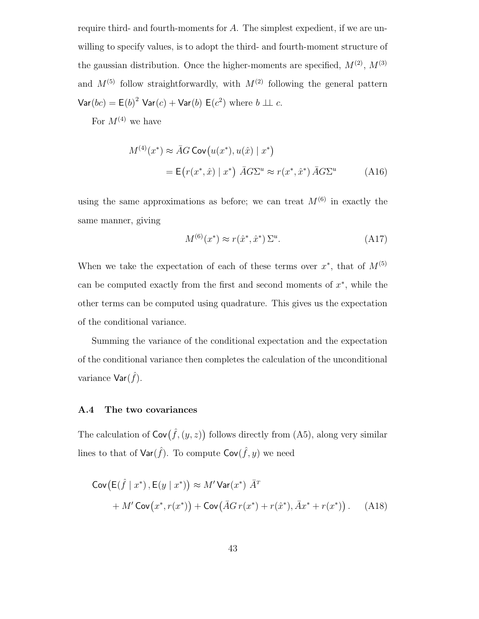require third- and fourth-moments for A. The simplest expedient, if we are unwilling to specify values, is to adopt the third- and fourth-moment structure of the gaussian distribution. Once the higher-moments are specified,  $M^{(2)}$ ,  $M^{(3)}$ and  $M^{(5)}$  follow straightforwardly, with  $M^{(2)}$  following the general pattern  $\textsf{Var}(bc) = \textsf{E}(b)^2 \textsf{Var}(c) + \textsf{Var}(b) \textsf{E}(c^2) \text{ where } b \perp c.$ 

For  $M^{(4)}$  we have

$$
M^{(4)}(x^*) \approx \bar{A}G \operatorname{Cov}\left(u(x^*), u(\hat{x}) \mid x^*\right)
$$
  
=  $\mathsf{E}\left(r(x^*, \hat{x}) \mid x^*\right) \bar{A}G\Sigma^u \approx r(x^*, \hat{x}^*) \bar{A}G\Sigma^u$  (A16)

using the same approximations as before; we can treat  $M^{(6)}$  in exactly the same manner, giving

$$
M^{(6)}(x^*) \approx r(\hat{x}^*, \hat{x}^*) \Sigma^u.
$$
 (A17)

When we take the expectation of each of these terms over  $x^*$ , that of  $M^{(5)}$ can be computed exactly from the first and second moments of  $x^*$ , while the other terms can be computed using quadrature. This gives us the expectation of the conditional variance.

Summing the variance of the conditional expectation and the expectation of the conditional variance then completes the calculation of the unconditional variance  $\mathsf{Var}(\hat{f})$ .

#### A.4 The two covariances

The calculation of  $\mathsf{Cov}(\hat{f},(y,z))$  follows directly from (A5), along very similar lines to that of  $\textsf{Var}(\hat{f})$ . To compute  $\textsf{Cov}(\hat{f}, y)$  we need

$$
Cov(E(\hat{f} \mid x^*), E(y \mid x^*)) \approx M' Var(x^*) \bar{A}^T
$$
  
+ 
$$
M' Cov(x^*, r(x^*)) + Cov(\bar{A}Gr(x^*) + r(\hat{x}^*), \bar{A}x^* + r(x^*))
$$
. (A18)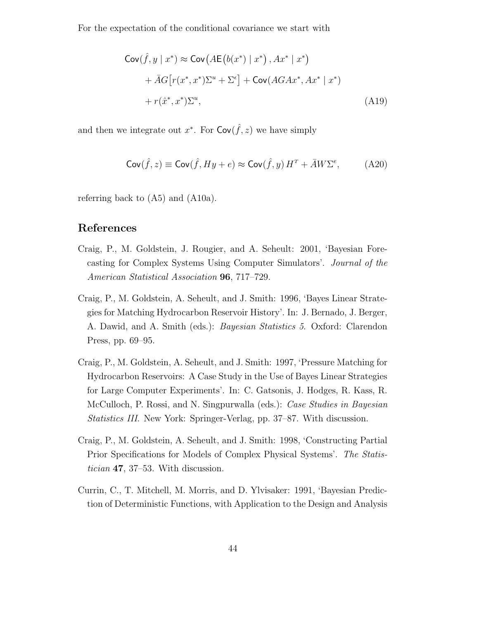For the expectation of the conditional covariance we start with

$$
\begin{aligned} \mathsf{Cov}(\hat{f}, y \mid x^*) &\approx \mathsf{Cov}\big(A\mathsf{E}\big(b(x^*) \mid x^*\big), Ax^* \mid x^*\big) \\ &+ \bar{A}G\big[r(x^*, x^*)\Sigma^u + \Sigma^{\epsilon}\big] + \mathsf{Cov}(AGAx^*, Ax^* \mid x^*) \\ &+ r(\hat{x}^*, x^*)\Sigma^u, \end{aligned} \tag{A19}
$$

and then we integrate out  $x^*$ . For  $Cov(\hat{f}, z)$  we have simply

$$
Cov(\hat{f}, z) \equiv Cov(\hat{f}, Hy + e) \approx Cov(\hat{f}, y) H^T + \bar{A} W \Sigma^e, \tag{A20}
$$

referring back to (A5) and (A10a).

## References

- Craig, P., M. Goldstein, J. Rougier, and A. Seheult: 2001, 'Bayesian Forecasting for Complex Systems Using Computer Simulators'. Journal of the American Statistical Association 96, 717–729.
- Craig, P., M. Goldstein, A. Seheult, and J. Smith: 1996, 'Bayes Linear Strategies for Matching Hydrocarbon Reservoir History'. In: J. Bernado, J. Berger, A. Dawid, and A. Smith (eds.): Bayesian Statistics 5. Oxford: Clarendon Press, pp. 69–95.
- Craig, P., M. Goldstein, A. Seheult, and J. Smith: 1997, 'Pressure Matching for Hydrocarbon Reservoirs: A Case Study in the Use of Bayes Linear Strategies for Large Computer Experiments'. In: C. Gatsonis, J. Hodges, R. Kass, R. McCulloch, P. Rossi, and N. Singpurwalla (eds.): *Case Studies in Bayesian* Statistics III. New York: Springer-Verlag, pp. 37–87. With discussion.
- Craig, P., M. Goldstein, A. Seheult, and J. Smith: 1998, 'Constructing Partial Prior Specifications for Models of Complex Physical Systems'. The Statistician 47, 37–53. With discussion.
- Currin, C., T. Mitchell, M. Morris, and D. Ylvisaker: 1991, 'Bayesian Prediction of Deterministic Functions, with Application to the Design and Analysis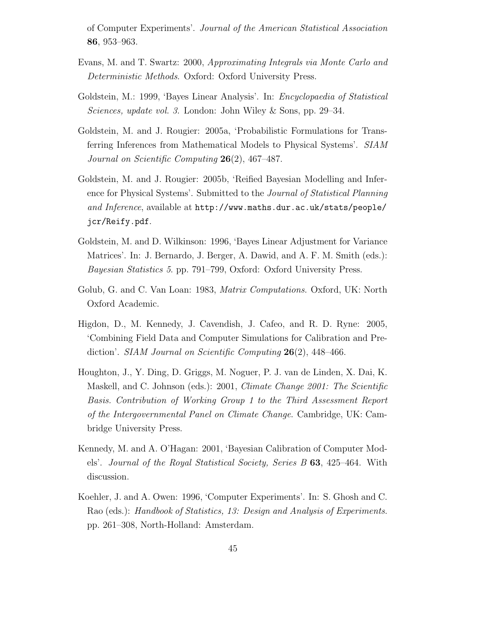of Computer Experiments'. Journal of the American Statistical Association 86, 953–963.

- Evans, M. and T. Swartz: 2000, Approximating Integrals via Monte Carlo and Deterministic Methods. Oxford: Oxford University Press.
- Goldstein, M.: 1999, 'Bayes Linear Analysis'. In: Encyclopaedia of Statistical Sciences, update vol. 3. London: John Wiley & Sons, pp. 29–34.
- Goldstein, M. and J. Rougier: 2005a, 'Probabilistic Formulations for Transferring Inferences from Mathematical Models to Physical Systems'. SIAM Journal on Scientific Computing 26(2), 467–487.
- Goldstein, M. and J. Rougier: 2005b, 'Reified Bayesian Modelling and Inference for Physical Systems'. Submitted to the Journal of Statistical Planning and Inference, available at http://www.maths.dur.ac.uk/stats/people/ jcr/Reify.pdf.
- Goldstein, M. and D. Wilkinson: 1996, 'Bayes Linear Adjustment for Variance Matrices'. In: J. Bernardo, J. Berger, A. Dawid, and A. F. M. Smith (eds.): Bayesian Statistics 5. pp. 791–799, Oxford: Oxford University Press.
- Golub, G. and C. Van Loan: 1983, *Matrix Computations*. Oxford, UK: North Oxford Academic.
- Higdon, D., M. Kennedy, J. Cavendish, J. Cafeo, and R. D. Ryne: 2005, 'Combining Field Data and Computer Simulations for Calibration and Prediction'. *SIAM Journal on Scientific Computing* 26(2), 448–466.
- Houghton, J., Y. Ding, D. Griggs, M. Noguer, P. J. van de Linden, X. Dai, K. Maskell, and C. Johnson (eds.): 2001, *Climate Change 2001: The Scientific* Basis. Contribution of Working Group 1 to the Third Assessment Report of the Intergovernmental Panel on Climate Change. Cambridge, UK: Cambridge University Press.
- Kennedy, M. and A. O'Hagan: 2001, 'Bayesian Calibration of Computer Models'. Journal of the Royal Statistical Society, Series B 63, 425–464. With discussion.
- Koehler, J. and A. Owen: 1996, 'Computer Experiments'. In: S. Ghosh and C. Rao (eds.): Handbook of Statistics, 13: Design and Analysis of Experiments. pp. 261–308, North-Holland: Amsterdam.